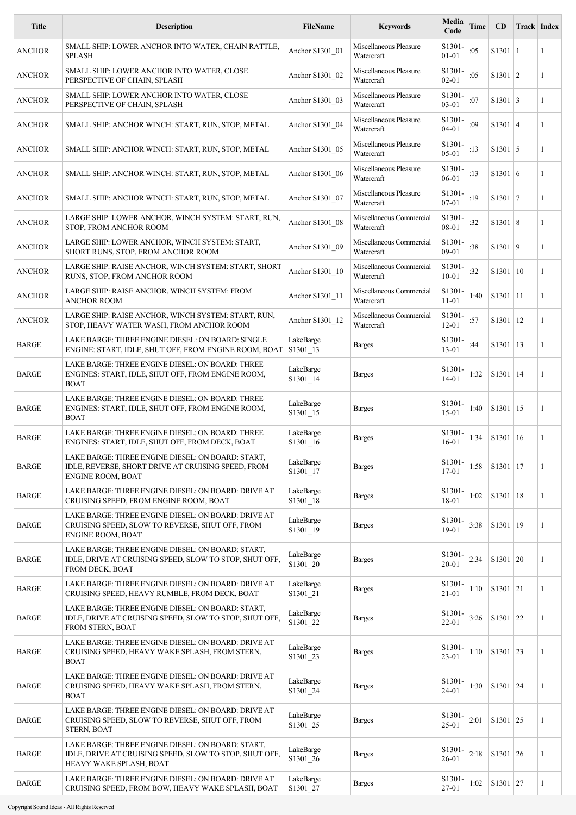| <b>Title</b>  | <b>Description</b>                                                                                                                     | FileName              | <b>Keywords</b>                        | Media<br>Code                | Time | CD             | Track Index |   |
|---------------|----------------------------------------------------------------------------------------------------------------------------------------|-----------------------|----------------------------------------|------------------------------|------|----------------|-------------|---|
| ANCHOR        | SMALL SHIP: LOWER ANCHOR INTO WATER, CHAIN RATTLE,<br><b>SPLASH</b>                                                                    | Anchor S1301 01       | Miscellaneous Pleasure<br>Watercraft   | S1301-<br>$01 - 01$          | :05  | $S1301 \mid 1$ |             | 1 |
| ANCHOR        | SMALL SHIP: LOWER ANCHOR INTO WATER, CLOSE<br>PERSPECTIVE OF CHAIN, SPLASH                                                             | Anchor S1301 02       | Miscellaneous Pleasure<br>Watercraft   | S1301-<br>$02 - 01$          | :05  | S1301   2      |             | 1 |
| <b>ANCHOR</b> | SMALL SHIP: LOWER ANCHOR INTO WATER, CLOSE<br>PERSPECTIVE OF CHAIN, SPLASH                                                             | Anchor S1301 03       | Miscellaneous Pleasure<br>Watercraft   | S1301-<br>$03 - 01$          | :07  | $S1301 \mid 3$ |             | 1 |
| ANCHOR        | SMALL SHIP: ANCHOR WINCH: START, RUN, STOP, METAL                                                                                      | Anchor S1301 04       | Miscellaneous Pleasure<br>Watercraft   | S1301-<br>$04 - 01$          | :09  | $S1301 \mid 4$ |             | 1 |
| ANCHOR        | SMALL SHIP: ANCHOR WINCH: START, RUN, STOP, METAL                                                                                      | Anchor S1301 05       | Miscellaneous Pleasure<br>Watercraft   | S1301-<br>$05 - 01$          | :13  | $S1301 \mid 5$ |             | 1 |
| ANCHOR        | SMALL SHIP: ANCHOR WINCH: START, RUN, STOP, METAL                                                                                      | Anchor S1301 06       | Miscellaneous Pleasure<br>Watercraft   | S1301.<br>06-01              | :13  | S1301 6        |             | 1 |
| ANCHOR        | SMALL SHIP: ANCHOR WINCH: START, RUN, STOP, METAL                                                                                      | Anchor S1301 07       | Miscellaneous Pleasure<br>Watercraft   | S1301-<br>$07 - 01$          | :19  | $S1301$   7    |             | 1 |
| <b>ANCHOR</b> | LARGE SHIP: LOWER ANCHOR, WINCH SYSTEM: START, RUN,<br>STOP, FROM ANCHOR ROOM                                                          | Anchor S1301 08       | Miscellaneous Commercial<br>Watercraft | S1301-<br>08-01              | :32  | S1301   8      |             | 1 |
| ANCHOR        | LARGE SHIP: LOWER ANCHOR, WINCH SYSTEM: START,<br>SHORT RUNS, STOP, FROM ANCHOR ROOM                                                   | Anchor S1301 09       | Miscellaneous Commercial<br>Watercraft | S1301-<br>$09-01$            | :38  | S1301 9        |             | 1 |
| ANCHOR        | LARGE SHIP: RAISE ANCHOR, WINCH SYSTEM: START, SHORT<br>RUNS, STOP, FROM ANCHOR ROOM                                                   | Anchor S1301 10       | Miscellaneous Commercial<br>Watercraft | S1301-<br>$10 - 01$          | :32  | S1301   10     |             | 1 |
| ANCHOR        | LARGE SHIP: RAISE ANCHOR, WINCH SYSTEM: FROM<br>ANCHOR ROOM                                                                            | Anchor S1301_11       | Miscellaneous Commercial<br>Watercraft | S1301-<br>$11 - 01$          | 1:40 | $S1301$   11   |             | 1 |
| <b>ANCHOR</b> | LARGE SHIP: RAISE ANCHOR, WINCH SYSTEM: START, RUN,<br>STOP, HEAVY WATER WASH, FROM ANCHOR ROOM                                        | Anchor S1301 12       | Miscellaneous Commercial<br>Watercraft | S1301-<br>12-01              | :57  | $S1301$   12   |             | 1 |
| <b>BARGE</b>  | LAKE BARGE: THREE ENGINE DIESEL: ON BOARD: SINGLE<br>ENGINE: START, IDLE, SHUT OFF, FROM ENGINE ROOM, BOAT                             | LakeBarge<br>S1301_13 | <b>Barges</b>                          | S1301-<br>$13 - 01$          | :44  | $S1301$   13   |             | 1 |
| <b>BARGE</b>  | LAKE BARGE: THREE ENGINE DIESEL: ON BOARD: THREE<br>ENGINES: START, IDLE, SHUT OFF, FROM ENGINE ROOM,<br><b>BOAT</b>                   | LakeBarge<br>S1301_14 | <b>Barges</b>                          | S1301-<br>$14 - 01$          | 1:32 | $S1301$   14   |             | 1 |
| BARGE         | LAKE BARGE: THREE ENGINE DIESEL: ON BOARD: THREE<br>ENGINES: START, IDLE, SHUT OFF, FROM ENGINE ROOM,<br><b>BOAT</b>                   | LakeBarge<br>S1301_15 | <b>Barges</b>                          | S1301-<br>$15 - 01$          | 1:40 | $S1301$   15   |             | 1 |
| <b>BARGE</b>  | LAKE BARGE: THREE ENGINE DIESEL: ON BOARD: THREE<br>ENGINES: START, IDLE, SHUT OFF, FROM DECK, BOAT                                    | LakeBarge<br>S1301_16 | <b>Barges</b>                          | S1301.<br>$16 - 01$          | 1:34 | S1301   16     |             | 1 |
| <b>BARGE</b>  | LAKE BARGE: THREE ENGINE DIESEL: ON BOARD: START,<br>IDLE, REVERSE, SHORT DRIVE AT CRUISING SPEED, FROM<br><b>ENGINE ROOM, BOAT</b>    | LakeBarge<br>S1301_17 | <b>Barges</b>                          | S1301-<br>$17 - 01$          | 1:58 | S1301 17       |             | 1 |
| <b>BARGE</b>  | LAKE BARGE: THREE ENGINE DIESEL: ON BOARD: DRIVE AT<br>CRUISING SPEED, FROM ENGINE ROOM, BOAT                                          | LakeBarge<br>S1301 18 | <b>Barges</b>                          | S1301-<br>18-01              | 1:02 | S1301 18       |             | 1 |
| BARGE         | LAKE BARGE: THREE ENGINE DIESEL: ON BOARD: DRIVE AT<br>CRUISING SPEED, SLOW TO REVERSE, SHUT OFF, FROM<br><b>ENGINE ROOM, BOAT</b>     | LakeBarge<br>S1301_19 | <b>Barges</b>                          | S1301-<br>$19-01$            | 3:38 | $S1301$   19   |             | 1 |
| <b>BARGE</b>  | LAKE BARGE: THREE ENGINE DIESEL: ON BOARD: START,<br>IDLE, DRIVE AT CRUISING SPEED, SLOW TO STOP, SHUT OFF,<br>FROM DECK, BOAT         | LakeBarge<br>S1301_20 | <b>Barges</b>                          | S1301.<br>$20 - 01$          | 2:34 | S1301   20     |             | 1 |
| <b>BARGE</b>  | LAKE BARGE: THREE ENGINE DIESEL: ON BOARD: DRIVE AT<br>CRUISING SPEED, HEAVY RUMBLE, FROM DECK, BOAT                                   | LakeBarge<br>S1301_21 | <b>Barges</b>                          | S1301-<br>$21 - 01$          | 1:10 | $S1301$ 21     |             | 1 |
| <b>BARGE</b>  | LAKE BARGE: THREE ENGINE DIESEL: ON BOARD: START,<br>IDLE, DRIVE AT CRUISING SPEED, SLOW TO STOP, SHUT OFF,<br>FROM STERN, BOAT        | LakeBarge<br>S1301_22 | <b>Barges</b>                          | S1301-<br>$22 - 01$          | 3:26 | $S1301$ 22     |             | 1 |
| BARGE         | LAKE BARGE: THREE ENGINE DIESEL: ON BOARD: DRIVE AT<br>CRUISING SPEED, HEAVY WAKE SPLASH, FROM STERN,<br><b>BOAT</b>                   | LakeBarge<br>S1301_23 | <b>Barges</b>                          | S1301-<br>$23 - 01$          | 1:10 | S1301 23       |             | 1 |
| <b>BARGE</b>  | LAKE BARGE: THREE ENGINE DIESEL: ON BOARD: DRIVE AT<br>CRUISING SPEED, HEAVY WAKE SPLASH, FROM STERN,<br><b>BOAT</b>                   | LakeBarge<br>S1301_24 | <b>Barges</b>                          | S1301-<br>$24 - 01$          | 1:30 | S1301 24       |             | 1 |
| BARGE         | LAKE BARGE: THREE ENGINE DIESEL: ON BOARD: DRIVE AT<br>CRUISING SPEED, SLOW TO REVERSE, SHUT OFF, FROM<br><b>STERN, BOAT</b>           | LakeBarge<br>S1301_25 | <b>Barges</b>                          | S1301-<br>$25 - 01$          | 2:01 | S1301 25       |             | 1 |
| <b>BARGE</b>  | LAKE BARGE: THREE ENGINE DIESEL: ON BOARD: START,<br>IDLE, DRIVE AT CRUISING SPEED, SLOW TO STOP, SHUT OFF,<br>HEAVY WAKE SPLASH, BOAT | LakeBarge<br>S1301_26 | <b>Barges</b>                          | S1301-<br>26-01              | 2:18 | S1301   26     |             | 1 |
| BARGE         | LAKE BARGE: THREE ENGINE DIESEL: ON BOARD: DRIVE AT<br>CRUISING SPEED, FROM BOW, HEAVY WAKE SPLASH, BOAT                               | LakeBarge<br>S1301 27 | <b>Barges</b>                          | S <sub>1301</sub> .<br>27-01 | 1:02 | S1301 27       |             | 1 |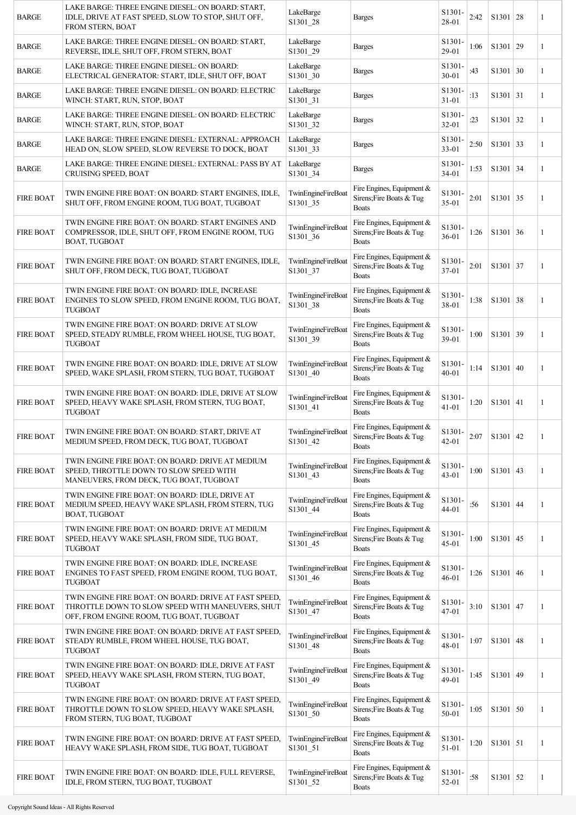| <b>BARGE</b>     | LAKE BARGE: THREE ENGINE DIESEL: ON BOARD: START,<br>IDLE, DRIVE AT FAST SPEED, SLOW TO STOP, SHUT OFF,<br>FROM STERN, BOAT                           | LakeBarge<br>S1301_28                             | <b>Barges</b>                                                         | S1301-<br>28-01                  | 2:42 | S1301   28      | 1 |
|------------------|-------------------------------------------------------------------------------------------------------------------------------------------------------|---------------------------------------------------|-----------------------------------------------------------------------|----------------------------------|------|-----------------|---|
| <b>BARGE</b>     | LAKE BARGE: THREE ENGINE DIESEL: ON BOARD: START,<br>REVERSE, IDLE, SHUT OFF, FROM STERN, BOAT                                                        | LakeBarge<br>S1301_29                             | <b>Barges</b>                                                         | S1301-<br>29-01                  | 1:06 | S1301 29        | 1 |
| <b>BARGE</b>     | LAKE BARGE: THREE ENGINE DIESEL: ON BOARD:<br>ELECTRICAL GENERATOR: START, IDLE, SHUT OFF, BOAT                                                       | LakeBarge<br>S1301_30                             | <b>Barges</b>                                                         | S1301-<br>$30 - 01$              | :43  | S1301   30      | 1 |
| <b>BARGE</b>     | LAKE BARGE: THREE ENGINE DIESEL: ON BOARD: ELECTRIC<br>WINCH: START, RUN, STOP, BOAT                                                                  | LakeBarge<br>S1301_31                             | <b>Barges</b>                                                         | S <sub>1301</sub> .<br>$31 - 01$ | :13  | S1301   31      | 1 |
| <b>BARGE</b>     | LAKE BARGE: THREE ENGINE DIESEL: ON BOARD: ELECTRIC<br>WINCH: START, RUN, STOP, BOAT                                                                  | LakeBarge<br>S1301_32                             | <b>Barges</b>                                                         | S <sub>1301</sub> -<br>$32 - 01$ | :23  | S1301   32      | 1 |
| <b>BARGE</b>     | LAKE BARGE: THREE ENGINE DIESEL: EXTERNAL: APPROACH<br>HEAD ON, SLOW SPEED, SLOW REVERSE TO DOCK, BOAT                                                | LakeBarge<br>S1301_33                             | <b>Barges</b>                                                         | S1301<br>$33 - 01$               | 2:50 | S1301   33      | 1 |
| <b>BARGE</b>     | LAKE BARGE: THREE ENGINE DIESEL: EXTERNAL: PASS BY AT<br>CRUISING SPEED, BOAT                                                                         | LakeBarge<br>S1301_34                             | <b>Barges</b>                                                         | S <sub>1301</sub> .<br>$34 - 01$ | 1:53 | $S1301 \mid 34$ | 1 |
| <b>FIRE BOAT</b> | TWIN ENGINE FIRE BOAT: ON BOARD: START ENGINES, IDLE,<br>SHUT OFF, FROM ENGINE ROOM, TUG BOAT, TUGBOAT                                                | <b>TwinEngineFireBoat</b><br>S1301_35             | Fire Engines, Equipment &<br>Sirens; Fire Boats & Tug<br><b>Boats</b> | S1301-<br>$35 - 01$              | 2:01 | $S1301$ 35      | 1 |
| <b>FIRE BOAT</b> | TWIN ENGINE FIRE BOAT: ON BOARD: START ENGINES AND<br>COMPRESSOR, IDLE, SHUT OFF, FROM ENGINE ROOM, TUG<br>BOAT, TUGBOAT                              | TwinEngineFireBoat<br>S1301_36                    | Fire Engines, Equipment &<br>Sirens; Fire Boats & Tug<br><b>Boats</b> | S1301-<br>$36 - 01$              | 1:26 | S1301   36      | 1 |
| <b>FIRE BOAT</b> | TWIN ENGINE FIRE BOAT: ON BOARD: START ENGINES, IDLE,<br>SHUT OFF, FROM DECK, TUG BOAT, TUGBOAT                                                       | <b>TwinEngineFireBoat</b><br>S1301 37             | Fire Engines, Equipment &<br>Sirens; Fire Boats & Tug<br><b>Boats</b> | S1301-<br>$37 - 01$              | 2:01 | $S1301$ 37      | 1 |
| <b>FIRE BOAT</b> | TWIN ENGINE FIRE BOAT: ON BOARD: IDLE, INCREASE<br>ENGINES TO SLOW SPEED, FROM ENGINE ROOM, TUG BOAT,<br><b>TUGBOAT</b>                               | TwinEngineFireBoat<br>S1301_38                    | Fire Engines, Equipment &<br>Sirens; Fire Boats & Tug<br><b>Boats</b> | S1301<br>38-01                   | 1:38 | S1301   38      | 1 |
| <b>FIRE BOAT</b> | TWIN ENGINE FIRE BOAT: ON BOARD: DRIVE AT SLOW<br>SPEED, STEADY RUMBLE, FROM WHEEL HOUSE, TUG BOAT,<br>TUGBOAT                                        | TwinEngineFireBoat<br>S1301_39                    | Fire Engines, Equipment &<br>Sirens; Fire Boats & Tug<br><b>Boats</b> | S1301-<br>39-01                  | 1:00 | S1301 39        | 1 |
| <b>FIRE BOAT</b> | TWIN ENGINE FIRE BOAT: ON BOARD: IDLE, DRIVE AT SLOW<br>SPEED, WAKE SPLASH, FROM STERN, TUG BOAT, TUGBOAT                                             | TwinEngineFireBoat<br>S1301 40                    | Fire Engines, Equipment &<br>Sirens; Fire Boats & Tug<br><b>Boats</b> | S1301-<br>$40 - 01$              | 1:14 | S1301   40      | 1 |
| <b>FIRE BOAT</b> | TWIN ENGINE FIRE BOAT: ON BOARD: IDLE, DRIVE AT SLOW<br>SPEED, HEAVY WAKE SPLASH, FROM STERN, TUG BOAT,<br>TUGBOAT                                    | <b>TwinEngineFireBoat</b><br>S <sub>1301</sub> 41 | Fire Engines, Equipment &<br>Sirens; Fire Boats & Tug<br><b>Boats</b> | S1301<br>$41 - 01$               | 1:20 | S1301   41      | 1 |
| <b>FIRE BOAT</b> | TWIN ENGINE FIRE BOAT: ON BOARD: START, DRIVE AT<br>MEDIUM SPEED, FROM DECK, TUG BOAT, TUGBOAT                                                        | <b>TwinEngineFireBoat</b><br>S1301_42             | Fire Engines, Equipment &<br>Sirens; Fire Boats & Tug<br><b>Boats</b> | S <sub>1301</sub> -<br>42-01     |      | $2:07$ S1301 42 |   |
| <b>FIRE BOAT</b> | TWIN ENGINE FIRE BOAT: ON BOARD: DRIVE AT MEDIUM<br>SPEED, THROTTLE DOWN TO SLOW SPEED WITH<br>MANEUVERS, FROM DECK, TUG BOAT, TUGBOAT                | TwinEngineFireBoat<br>S1301_43                    | Fire Engines, Equipment &<br>Sirens; Fire Boats & Tug<br><b>Boats</b> | S1301-<br>$43 - 01$              | 1:00 | S1301   43      | 1 |
| <b>FIRE BOAT</b> | TWIN ENGINE FIRE BOAT: ON BOARD: IDLE, DRIVE AT<br>MEDIUM SPEED, HEAVY WAKE SPLASH, FROM STERN, TUG<br>BOAT, TUGBOAT                                  | TwinEngineFireBoat<br>S1301_44                    | Fire Engines, Equipment &<br>Sirens; Fire Boats & Tug<br><b>Boats</b> | S1301-<br>44-01                  | :56  | $S1301$ 44      | 1 |
| <b>FIRE BOAT</b> | TWIN ENGINE FIRE BOAT: ON BOARD: DRIVE AT MEDIUM<br>SPEED, HEAVY WAKE SPLASH, FROM SIDE, TUG BOAT,<br>TUGBOAT                                         | TwinEngineFireBoat<br>S1301_45                    | Fire Engines, Equipment &<br>Sirens; Fire Boats & Tug<br><b>Boats</b> | S1301<br>$45 - 01$               | 1:00 | $S1301$ 45      | 1 |
| <b>FIRE BOAT</b> | TWIN ENGINE FIRE BOAT: ON BOARD: IDLE, INCREASE<br>ENGINES TO FAST SPEED, FROM ENGINE ROOM, TUG BOAT,<br><b>TUGBOAT</b>                               | TwinEngineFireBoat<br>S1301_46                    | Fire Engines, Equipment &<br>Sirens; Fire Boats & Tug<br><b>Boats</b> | S1301-<br>$46 - 01$              | 1:26 | S1301   46      | 1 |
| <b>FIRE BOAT</b> | TWIN ENGINE FIRE BOAT: ON BOARD: DRIVE AT FAST SPEED,<br>THROTTLE DOWN TO SLOW SPEED WITH MANEUVERS, SHUT<br>OFF, FROM ENGINE ROOM, TUG BOAT, TUGBOAT | TwinEngineFireBoat<br>S1301_47                    | Fire Engines, Equipment &<br>Sirens; Fire Boats & Tug<br><b>Boats</b> | S <sub>1301</sub><br>$47 - 01$   | 3:10 | $S1301$ 47      | 1 |
| <b>FIRE BOAT</b> | TWIN ENGINE FIRE BOAT: ON BOARD: DRIVE AT FAST SPEED,<br>STEADY RUMBLE, FROM WHEEL HOUSE, TUG BOAT,<br><b>TUGBOAT</b>                                 | TwinEngineFireBoat<br>S1301 48                    | Fire Engines, Equipment &<br>Sirens; Fire Boats & Tug<br><b>Boats</b> | S1301<br>48-01                   | 1:07 | $S1301$ 48      | 1 |
| <b>FIRE BOAT</b> | TWIN ENGINE FIRE BOAT: ON BOARD: IDLE, DRIVE AT FAST<br>SPEED, HEAVY WAKE SPLASH, FROM STERN, TUG BOAT,<br><b>TUGBOAT</b>                             | TwinEngineFireBoat<br>S1301_49                    | Fire Engines, Equipment &<br>Sirens; Fire Boats & Tug<br><b>Boats</b> | S <sub>1301</sub><br>49-01       | 1:45 | S1301   49      | 1 |
| <b>FIRE BOAT</b> | TWIN ENGINE FIRE BOAT: ON BOARD: DRIVE AT FAST SPEED,<br>THROTTLE DOWN TO SLOW SPEED, HEAVY WAKE SPLASH,<br>FROM STERN, TUG BOAT, TUGBOAT             | TwinEngineFireBoat<br>S1301_50                    | Fire Engines, Equipment &<br>Sirens; Fire Boats & Tug<br><b>Boats</b> | S1301-<br>50-01                  | 1:05 | S1301   50      | 1 |
| <b>FIRE BOAT</b> | TWIN ENGINE FIRE BOAT: ON BOARD: DRIVE AT FAST SPEED,<br>HEAVY WAKE SPLASH, FROM SIDE, TUG BOAT, TUGBOAT                                              | TwinEngineFireBoat<br>S1301_51                    | Fire Engines, Equipment &<br>Sirens; Fire Boats & Tug<br><b>Boats</b> | S1301-<br>$51 - 01$              | 1:20 | $S1301$ 51      | 1 |
| <b>FIRE BOAT</b> | TWIN ENGINE FIRE BOAT: ON BOARD: IDLE, FULL REVERSE,<br>IDLE, FROM STERN, TUG BOAT, TUGBOAT                                                           | TwinEngineFireBoat<br>S1301_52                    | Fire Engines, Equipment &<br>Sirens; Fire Boats & Tug<br><b>Boats</b> | S1301-<br>52-01                  | :58  | $S1301$ 52      | 1 |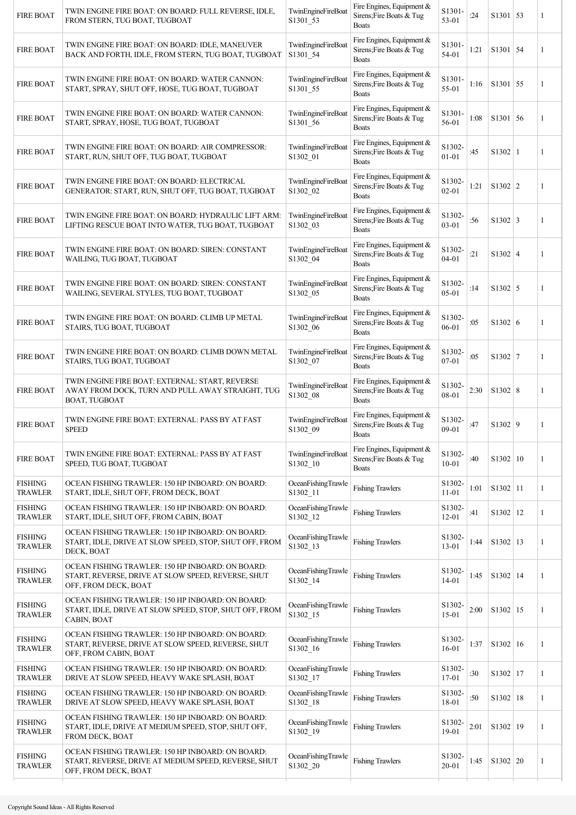| Fire Engines, Equipment &<br>S1301<br>TwinEngineFireBoat<br>TWIN ENGINE FIRE BOAT: ON BOARD: IDLE, MANEUVER<br><b>FIRE BOAT</b><br>Sirens; Fire Boats & Tug<br>$S1301$ 54<br>1:21<br>54-01<br>BACK AND FORTH, IDLE, FROM STERN, TUG BOAT, TUGBOAT<br>S1301_54<br><b>Boats</b><br>Fire Engines, Equipment &<br>S1301-<br>TwinEngineFireBoat<br>TWIN ENGINE FIRE BOAT: ON BOARD: WATER CANNON:<br>Sirens; Fire Boats & Tug<br>$S1301$ 55<br><b>FIRE BOAT</b><br>1:16<br>55-01<br>START, SPRAY, SHUT OFF, HOSE, TUG BOAT, TUGBOAT<br>S1301 55<br><b>Boats</b><br>Fire Engines, Equipment &<br>TwinEngineFireBoat<br>S <sub>1301</sub><br>TWIN ENGINE FIRE BOAT: ON BOARD: WATER CANNON:<br>Sirens; Fire Boats & Tug<br><b>FIRE BOAT</b><br>1:08<br>S1301   56<br>S1301_56<br>56-01<br>START, SPRAY, HOSE, TUG BOAT, TUGBOAT<br><b>Boats</b><br>Fire Engines, Equipment &<br>S1302-<br>TwinEngineFireBoat<br>TWIN ENGINE FIRE BOAT: ON BOARD: AIR COMPRESSOR:<br><b>FIRE BOAT</b><br>Sirens; Fire Boats & Tug<br>:45<br>S1302   1<br>START, RUN, SHUT OFF, TUG BOAT, TUGBOAT<br>S1302 01<br>$01 - 01$<br><b>Boats</b><br>Fire Engines, Equipment &<br>S1302-<br>TwinEngineFireBoat<br>TWIN ENGINE FIRE BOAT: ON BOARD: ELECTRICAL<br><b>FIRE BOAT</b><br>Sirens; Fire Boats & Tug<br>1:21<br>S1302   2<br>$02 - 01$<br>GENERATOR: START, RUN, SHUT OFF, TUG BOAT, TUGBOAT<br>S1302_02<br><b>Boats</b><br>Fire Engines, Equipment &<br>S1302-<br>TWIN ENGINE FIRE BOAT: ON BOARD: HYDRAULIC LIFT ARM:<br>TwinEngineFireBoat | 1<br>1<br>1<br>1<br>1<br>1<br>1 |
|------------------------------------------------------------------------------------------------------------------------------------------------------------------------------------------------------------------------------------------------------------------------------------------------------------------------------------------------------------------------------------------------------------------------------------------------------------------------------------------------------------------------------------------------------------------------------------------------------------------------------------------------------------------------------------------------------------------------------------------------------------------------------------------------------------------------------------------------------------------------------------------------------------------------------------------------------------------------------------------------------------------------------------------------------------------------------------------------------------------------------------------------------------------------------------------------------------------------------------------------------------------------------------------------------------------------------------------------------------------------------------------------------------------------------------------------------------------------------------------------------------------------|---------------------------------|
|                                                                                                                                                                                                                                                                                                                                                                                                                                                                                                                                                                                                                                                                                                                                                                                                                                                                                                                                                                                                                                                                                                                                                                                                                                                                                                                                                                                                                                                                                                                        |                                 |
|                                                                                                                                                                                                                                                                                                                                                                                                                                                                                                                                                                                                                                                                                                                                                                                                                                                                                                                                                                                                                                                                                                                                                                                                                                                                                                                                                                                                                                                                                                                        |                                 |
|                                                                                                                                                                                                                                                                                                                                                                                                                                                                                                                                                                                                                                                                                                                                                                                                                                                                                                                                                                                                                                                                                                                                                                                                                                                                                                                                                                                                                                                                                                                        |                                 |
|                                                                                                                                                                                                                                                                                                                                                                                                                                                                                                                                                                                                                                                                                                                                                                                                                                                                                                                                                                                                                                                                                                                                                                                                                                                                                                                                                                                                                                                                                                                        |                                 |
|                                                                                                                                                                                                                                                                                                                                                                                                                                                                                                                                                                                                                                                                                                                                                                                                                                                                                                                                                                                                                                                                                                                                                                                                                                                                                                                                                                                                                                                                                                                        |                                 |
| <b>FIRE BOAT</b><br>Sirens; Fire Boats & Tug<br>:56<br>$S1302 \mid 3$<br>$03 - 01$<br>S1302_03<br>LIFTING RESCUE BOAT INTO WATER, TUG BOAT, TUGBOAT<br><b>Boats</b>                                                                                                                                                                                                                                                                                                                                                                                                                                                                                                                                                                                                                                                                                                                                                                                                                                                                                                                                                                                                                                                                                                                                                                                                                                                                                                                                                    |                                 |
| Fire Engines, Equipment &<br>S1302-<br>TWIN ENGINE FIRE BOAT: ON BOARD: SIREN: CONSTANT<br><b>TwinEngineFireBoat</b><br><b>FIRE BOAT</b><br>Sirens; Fire Boats & Tug<br>:21<br>$S1302 \mid 4$<br>$04 - 01$<br>WAILING, TUG BOAT, TUGBOAT<br>S1302_04<br><b>Boats</b>                                                                                                                                                                                                                                                                                                                                                                                                                                                                                                                                                                                                                                                                                                                                                                                                                                                                                                                                                                                                                                                                                                                                                                                                                                                   |                                 |
| Fire Engines, Equipment &<br>TWIN ENGINE FIRE BOAT: ON BOARD: SIREN: CONSTANT<br>S1302-<br>TwinEngineFireBoat<br><b>FIRE BOAT</b><br>Sirens; Fire Boats & Tug<br>:14<br>$S1302 \mid 5$<br>$05 - 01$<br>WAILING, SEVERAL STYLES, TUG BOAT, TUGBOAT<br>S1302_05<br><b>Boats</b>                                                                                                                                                                                                                                                                                                                                                                                                                                                                                                                                                                                                                                                                                                                                                                                                                                                                                                                                                                                                                                                                                                                                                                                                                                          | 1                               |
| Fire Engines, Equipment &<br>S1302-<br>TWIN ENGINE FIRE BOAT: ON BOARD: CLIMB UP METAL<br>TwinEngineFireBoat<br><b>FIRE BOAT</b><br>Sirens; Fire Boats & Tug<br>:05<br>S1302   6<br>06-01<br>STAIRS, TUG BOAT, TUGBOAT<br>S1302_06<br><b>Boats</b>                                                                                                                                                                                                                                                                                                                                                                                                                                                                                                                                                                                                                                                                                                                                                                                                                                                                                                                                                                                                                                                                                                                                                                                                                                                                     | 1                               |
| Fire Engines, Equipment &<br>S1302-<br>TWIN ENGINE FIRE BOAT: ON BOARD: CLIMB DOWN METAL<br>TwinEngineFireBoat<br><b>FIRE BOAT</b><br>Sirens; Fire Boats & Tug<br>:05<br>$S1302$ 7<br>$07 - 01$<br>STAIRS, TUG BOAT, TUGBOAT<br>S1302 07<br><b>Boats</b>                                                                                                                                                                                                                                                                                                                                                                                                                                                                                                                                                                                                                                                                                                                                                                                                                                                                                                                                                                                                                                                                                                                                                                                                                                                               | 1                               |
| TWIN ENGINE FIRE BOAT: EXTERNAL: START, REVERSE<br>Fire Engines, Equipment &<br>S1302-<br>TwinEngineFireBoat<br>Sirens; Fire Boats & Tug<br>S1302   8<br><b>FIRE BOAT</b><br>AWAY FROM DOCK, TURN AND PULL AWAY STRAIGHT, TUG<br>2:30<br>08-01<br>S1302_08<br>BOAT, TUGBOAT<br><b>Boats</b>                                                                                                                                                                                                                                                                                                                                                                                                                                                                                                                                                                                                                                                                                                                                                                                                                                                                                                                                                                                                                                                                                                                                                                                                                            | 1                               |
| Fire Engines, Equipment &<br>TWIN ENGINE FIRE BOAT: EXTERNAL: PASS BY AT FAST<br>TwinEngineFireBoat<br>S1302-<br><b>FIRE BOAT</b><br>Sirens; Fire Boats & Tug<br>S1302   9<br>:47<br>09-01<br><b>SPEED</b><br>S1302 09<br><b>Boats</b>                                                                                                                                                                                                                                                                                                                                                                                                                                                                                                                                                                                                                                                                                                                                                                                                                                                                                                                                                                                                                                                                                                                                                                                                                                                                                 | 1                               |
| Fire Engines, Equipment &<br><b>TwinEngineFireBoat</b><br>S1302-<br>TWIN ENGINE FIRE BOAT: EXTERNAL: PASS BY AT FAST<br><b>FIRE BOAT</b><br>Sirens; Fire Boats & Tug<br>:40<br>S1302   10<br>S1302_10<br>$10 - 01$<br>SPEED, TUG BOAT, TUGBOAT<br><b>Boats</b>                                                                                                                                                                                                                                                                                                                                                                                                                                                                                                                                                                                                                                                                                                                                                                                                                                                                                                                                                                                                                                                                                                                                                                                                                                                         | 1                               |
| <b>FISHING</b><br>S1302-<br>OCEAN FISHING TRAWLER: 150 HP INBOARD: ON BOARD:<br>OceanFishingTrawle<br><b>Fishing Trawlers</b><br>1:01<br>$S1302$   11<br><b>TRAWLER</b><br>S1302_11<br>$11 - 01$<br>START, IDLE, SHUT OFF, FROM DECK, BOAT                                                                                                                                                                                                                                                                                                                                                                                                                                                                                                                                                                                                                                                                                                                                                                                                                                                                                                                                                                                                                                                                                                                                                                                                                                                                             | $\mathbf{1}$                    |
| <b>FISHING</b><br>OCEAN FISHING TRAWLER: 150 HP INBOARD: ON BOARD:<br>OceanFishingTrawle<br>S1302-<br><b>Fishing Trawlers</b><br>S1302 12<br>:41<br><b>TRAWLER</b><br>$12 - 01$<br>START, IDLE, SHUT OFF, FROM CABIN, BOAT<br>S1302_12                                                                                                                                                                                                                                                                                                                                                                                                                                                                                                                                                                                                                                                                                                                                                                                                                                                                                                                                                                                                                                                                                                                                                                                                                                                                                 | $\mathbf{1}$                    |
| OCEAN FISHING TRAWLER: 150 HP INBOARD: ON BOARD:<br><b>FISHING</b><br>OceanFishingTrawle<br>S1302-<br><b>Fishing Trawlers</b><br>$S1302$   13<br>START, IDLE, DRIVE AT SLOW SPEED, STOP, SHUT OFF, FROM<br>1:44<br><b>TRAWLER</b><br>S1302_13<br>$13 - 01$<br>DECK, BOAT                                                                                                                                                                                                                                                                                                                                                                                                                                                                                                                                                                                                                                                                                                                                                                                                                                                                                                                                                                                                                                                                                                                                                                                                                                               | 1                               |
| OCEAN FISHING TRAWLER: 150 HP INBOARD: ON BOARD:<br><b>FISHING</b><br>S1302-<br>OceanFishingTrawle<br><b>Fishing Trawlers</b><br>S1302 14<br>START, REVERSE, DRIVE AT SLOW SPEED, REVERSE, SHUT<br>1:45<br><b>TRAWLER</b><br>S1302 14<br>14-01<br>OFF, FROM DECK, BOAT                                                                                                                                                                                                                                                                                                                                                                                                                                                                                                                                                                                                                                                                                                                                                                                                                                                                                                                                                                                                                                                                                                                                                                                                                                                 | 1                               |
| OCEAN FISHING TRAWLER: 150 HP INBOARD: ON BOARD:<br><b>FISHING</b><br>S1302-<br>OceanFishingTrawle<br><b>Fishing Trawlers</b><br>2:00<br>S1302   15<br>START, IDLE, DRIVE AT SLOW SPEED, STOP, SHUT OFF, FROM<br><b>TRAWLER</b><br>S1302_15<br>$15 - 01$<br>CABIN, BOAT                                                                                                                                                                                                                                                                                                                                                                                                                                                                                                                                                                                                                                                                                                                                                                                                                                                                                                                                                                                                                                                                                                                                                                                                                                                | 1                               |
| OCEAN FISHING TRAWLER: 150 HP INBOARD: ON BOARD:<br><b>FISHING</b><br>S1302-<br>OceanFishingTrawle<br><b>Fishing Trawlers</b><br>1:37<br>S1302 16<br>START, REVERSE, DRIVE AT SLOW SPEED, REVERSE, SHUT<br><b>TRAWLER</b><br>$16 - 01$<br>S1302 16<br>OFF, FROM CABIN, BOAT                                                                                                                                                                                                                                                                                                                                                                                                                                                                                                                                                                                                                                                                                                                                                                                                                                                                                                                                                                                                                                                                                                                                                                                                                                            | 1                               |
| <b>FISHING</b><br>OCEAN FISHING TRAWLER: 150 HP INBOARD: ON BOARD:<br>OceanFishingTrawle<br>S1302-<br><b>Fishing Trawlers</b><br>:30<br>S1302 17<br>$17 - 01$<br><b>TRAWLER</b><br>DRIVE AT SLOW SPEED, HEAVY WAKE SPLASH, BOAT<br>S1302 17                                                                                                                                                                                                                                                                                                                                                                                                                                                                                                                                                                                                                                                                                                                                                                                                                                                                                                                                                                                                                                                                                                                                                                                                                                                                            | 1                               |
| <b>FISHING</b><br>OCEAN FISHING TRAWLER: 150 HP INBOARD: ON BOARD:<br>OceanFishingTrawle<br>S1302-<br><b>Fishing Trawlers</b><br>:50<br>S1302 18<br><b>TRAWLER</b><br>18-01<br>DRIVE AT SLOW SPEED, HEAVY WAKE SPLASH, BOAT<br>S1302 18                                                                                                                                                                                                                                                                                                                                                                                                                                                                                                                                                                                                                                                                                                                                                                                                                                                                                                                                                                                                                                                                                                                                                                                                                                                                                | $\mathbf{1}$                    |
| OCEAN FISHING TRAWLER: 150 HP INBOARD: ON BOARD:<br><b>FISHING</b><br>OceanFishingTrawle<br>S1302-<br><b>Fishing Trawlers</b><br>S1302 19<br>START, IDLE, DRIVE AT MEDIUM SPEED, STOP, SHUT OFF,<br>2:01<br>S1302_19<br><b>TRAWLER</b><br>19-01<br>FROM DECK, BOAT                                                                                                                                                                                                                                                                                                                                                                                                                                                                                                                                                                                                                                                                                                                                                                                                                                                                                                                                                                                                                                                                                                                                                                                                                                                     | 1                               |
| OCEAN FISHING TRAWLER: 150 HP INBOARD: ON BOARD:<br><b>FISHING</b><br>OceanFishingTrawle<br>S1302-<br><b>Fishing Trawlers</b><br>S1302   20<br>START, REVERSE, DRIVE AT MEDIUM SPEED, REVERSE, SHUT<br>1:45<br><b>TRAWLER</b><br>S1302_20<br>$20 - 01$<br>OFF, FROM DECK, BOAT                                                                                                                                                                                                                                                                                                                                                                                                                                                                                                                                                                                                                                                                                                                                                                                                                                                                                                                                                                                                                                                                                                                                                                                                                                         | 1                               |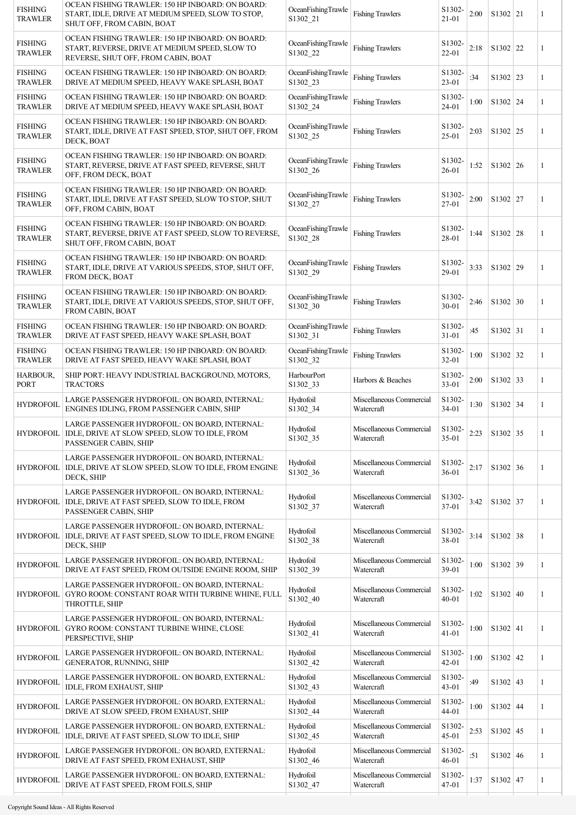| <b>FISHING</b><br><b>TRAWLER</b> | OCEAN FISHING TRAWLER: 150 HP INBOARD: ON BOARD:<br>START, IDLE, DRIVE AT MEDIUM SPEED, SLOW TO STOP,<br>SHUT OFF, FROM CABIN, BOAT       | OceanFishingTrawle<br>S1302 21     | <b>Fishing Trawlers</b>                | S1302-<br>$21 - 01$          | 2:00 | S1302   21 | 1 |
|----------------------------------|-------------------------------------------------------------------------------------------------------------------------------------------|------------------------------------|----------------------------------------|------------------------------|------|------------|---|
| <b>FISHING</b><br><b>TRAWLER</b> | OCEAN FISHING TRAWLER: 150 HP INBOARD: ON BOARD:<br>START, REVERSE, DRIVE AT MEDIUM SPEED, SLOW TO<br>REVERSE, SHUT OFF, FROM CABIN, BOAT | OceanFishingTrawle<br>S1302 22     | <b>Fishing Trawlers</b>                | S1302-<br>22-01              | 2:18 | S1302 22   | 1 |
| <b>FISHING</b><br>TRAWLER        | OCEAN FISHING TRAWLER: 150 HP INBOARD: ON BOARD:<br>DRIVE AT MEDIUM SPEED, HEAVY WAKE SPLASH, BOAT                                        | OceanFishingTrawle<br>S1302 23     | <b>Fishing Trawlers</b>                | S1302-<br>$23 - 01$          | :34  | S1302 23   | 1 |
| <b>FISHING</b><br><b>TRAWLER</b> | OCEAN FISHING TRAWLER: 150 HP INBOARD: ON BOARD:<br>DRIVE AT MEDIUM SPEED, HEAVY WAKE SPLASH, BOAT                                        | OceanFishingTrawle<br>S1302 24     | <b>Fishing Trawlers</b>                | S1302-<br>$24 - 01$          | 1:00 | S1302   24 | 1 |
| <b>FISHING</b><br><b>TRAWLER</b> | OCEAN FISHING TRAWLER: 150 HP INBOARD: ON BOARD:<br>START, IDLE, DRIVE AT FAST SPEED, STOP, SHUT OFF, FROM<br>DECK, BOAT                  | OceanFishingTrawle<br>S1302_25     | <b>Fishing Trawlers</b>                | S1302-<br>$25 - 01$          | 2:03 | S1302   25 | 1 |
| <b>FISHING</b><br><b>TRAWLER</b> | OCEAN FISHING TRAWLER: 150 HP INBOARD: ON BOARD:<br>START, REVERSE, DRIVE AT FAST SPEED, REVERSE, SHUT<br>OFF, FROM DECK, BOAT            | OceanFishingTrawle<br>S1302 26     | <b>Fishing Trawlers</b>                | S1302-<br>$26 - 01$          | 1:52 | S1302   26 | 1 |
| <b>FISHING</b><br><b>TRAWLER</b> | OCEAN FISHING TRAWLER: 150 HP INBOARD: ON BOARD:<br>START, IDLE, DRIVE AT FAST SPEED, SLOW TO STOP, SHUT<br>OFF, FROM CABIN, BOAT         | OceanFishingTrawle<br>S1302_27     | <b>Fishing Trawlers</b>                | S1302-<br>27-01              | 2:00 | S1302   27 | 1 |
| <b>FISHING</b><br><b>TRAWLER</b> | OCEAN FISHING TRAWLER: 150 HP INBOARD: ON BOARD:<br>START, REVERSE, DRIVE AT FAST SPEED, SLOW TO REVERSE,<br>SHUT OFF, FROM CABIN, BOAT   | OceanFishingTrawle<br>S1302 28     | <b>Fishing Trawlers</b>                | S1302-<br>28-01              | 1:44 | S1302   28 | 1 |
| <b>FISHING</b><br><b>TRAWLER</b> | OCEAN FISHING TRAWLER: 150 HP INBOARD: ON BOARD:<br>START, IDLE, DRIVE AT VARIOUS SPEEDS, STOP, SHUT OFF,<br>FROM DECK, BOAT              | OceanFishingTrawle<br>S1302_29     | <b>Fishing Trawlers</b>                | S1302-<br>29-01              | 3:33 | S1302   29 | 1 |
| <b>FISHING</b><br><b>TRAWLER</b> | OCEAN FISHING TRAWLER: 150 HP INBOARD: ON BOARD:<br>START, IDLE, DRIVE AT VARIOUS SPEEDS, STOP, SHUT OFF,<br>FROM CABIN, BOAT             | OceanFishingTrawle<br>S1302 30     | <b>Fishing Trawlers</b>                | S1302-<br>$30 - 01$          | 2:46 | S1302   30 | 1 |
| <b>FISHING</b><br><b>TRAWLER</b> | OCEAN FISHING TRAWLER: 150 HP INBOARD: ON BOARD:<br>DRIVE AT FAST SPEED, HEAVY WAKE SPLASH, BOAT                                          | OceanFishingTrawle<br>S1302 31     | <b>Fishing Trawlers</b>                | S1302-<br>$31 - 01$          | :45  | $S1302$ 31 | 1 |
| <b>FISHING</b><br><b>TRAWLER</b> | OCEAN FISHING TRAWLER: 150 HP INBOARD: ON BOARD:<br>DRIVE AT FAST SPEED, HEAVY WAKE SPLASH, BOAT                                          | OceanFishingTrawle<br>S1302 32     | <b>Fishing Trawlers</b>                | S1302-<br>32-01              | 1:00 | S1302 32   | 1 |
| <b>HARBOUR,</b><br><b>PORT</b>   | SHIP PORT: HEAVY INDUSTRIAL BACKGROUND, MOTORS,<br>TRACTORS                                                                               | HarbourPort<br>S1302_33            | Harbors & Beaches                      | S1302-<br>$33 - 01$          | 2:00 | S1302 33   | 1 |
| <b>HYDROFOIL</b>                 | LARGE PASSENGER HYDROFOIL: ON BOARD, INTERNAL:<br>ENGINES IDLING, FROM PASSENGER CABIN, SHIP                                              | Hydrofoil<br>S1302 34              | Miscellaneous Commercial<br>Watercraft | S1302-<br>34-01              | 1:30 | S1302 34   | 1 |
|                                  | LARGE PASSENGER HYDROFOIL: ON BOARD, INTERNAL:<br>HYDROFOIL   IDLE, DRIVE AT SLOW SPEED, SLOW TO IDLE, FROM<br>PASSENGER CABIN, SHIP      | Hydrofoil<br>S <sub>1302</sub> _35 | Miscellaneous Commercial<br>Watercraft | S <sub>1302</sub> -<br>35-01 | 2:23 | $S1302$ 35 |   |
|                                  | LARGE PASSENGER HYDROFOIL: ON BOARD, INTERNAL:<br>HYDROFOIL   IDLE, DRIVE AT SLOW SPEED, SLOW TO IDLE, FROM ENGINE<br>DECK, SHIP          | Hydrofoil<br>S1302_36              | Miscellaneous Commercial<br>Watercraft | S1302-<br>$36 - 01$          | 2:17 | S1302 36   | 1 |
|                                  | LARGE PASSENGER HYDROFOIL: ON BOARD, INTERNAL:<br>HYDROFOIL   IDLE, DRIVE AT FAST SPEED, SLOW TO IDLE, FROM<br>PASSENGER CABIN, SHIP      | Hydrofoil<br>S1302_37              | Miscellaneous Commercial<br>Watercraft | S1302-<br>37-01              | 3:42 | S1302 37   | 1 |
|                                  | LARGE PASSENGER HYDROFOIL: ON BOARD, INTERNAL:<br>HYDROFOIL   IDLE, DRIVE AT FAST SPEED, SLOW TO IDLE, FROM ENGINE<br>DECK, SHIP          | Hydrofoil<br>S1302 38              | Miscellaneous Commercial<br>Watercraft | S1302-<br>38-01              | 3:14 | S1302 38   | 1 |
| <b>HYDROFOIL</b>                 | LARGE PASSENGER HYDROFOIL: ON BOARD, INTERNAL:<br>DRIVE AT FAST SPEED, FROM OUTSIDE ENGINE ROOM, SHIP                                     | Hydrofoil<br>S1302_39              | Miscellaneous Commercial<br>Watercraft | S1302-<br>39-01              | 1:00 | S1302 39   | 1 |
|                                  | LARGE PASSENGER HYDROFOIL: ON BOARD, INTERNAL:<br>HYDROFOIL GYRO ROOM: CONSTANT ROAR WITH TURBINE WHINE, FULL<br>THROTTLE, SHIP           | Hydrofoil<br>S1302_40              | Miscellaneous Commercial<br>Watercraft | S1302-<br>$40 - 01$          | 1:02 | S1302   40 | 1 |
|                                  | LARGE PASSENGER HYDROFOIL: ON BOARD, INTERNAL:<br>HYDROFOIL GYRO ROOM: CONSTANT TURBINE WHINE, CLOSE<br>PERSPECTIVE, SHIP                 | Hydrofoil<br>S1302 41              | Miscellaneous Commercial<br>Watercraft | S1302-<br>$41 - 01$          | 1:00 | $S1302$ 41 | 1 |
| <b>HYDROFOIL</b>                 | LARGE PASSENGER HYDROFOIL: ON BOARD, INTERNAL:<br>GENERATOR, RUNNING, SHIP                                                                | Hydrofoil<br>S1302_42              | Miscellaneous Commercial<br>Watercraft | S1302-<br>$42 - 01$          | 1:00 | $S1302$ 42 | 1 |
| <b>HYDROFOIL</b>                 | LARGE PASSENGER HYDROFOIL: ON BOARD, EXTERNAL:<br>IDLE, FROM EXHAUST, SHIP                                                                | Hydrofoil<br>S1302_43              | Miscellaneous Commercial<br>Watercraft | S1302-<br>$43 - 01$          | :49  | $S1302$ 43 | 1 |
| <b>HYDROFOIL</b>                 | LARGE PASSENGER HYDROFOIL: ON BOARD, EXTERNAL:<br>DRIVE AT SLOW SPEED, FROM EXHAUST, SHIP                                                 | Hydrofoil<br>S1302_44              | Miscellaneous Commercial<br>Watercraft | S1302-<br>$44 - 01$          | 1:00 | $S1302$ 44 | 1 |
| <b>HYDROFOIL</b>                 | LARGE PASSENGER HYDROFOIL: ON BOARD, EXTERNAL:<br>IDLE, DRIVE AT FAST SPEED, SLOW TO IDLE, SHIP                                           | Hydrofoil<br>S1302_45              | Miscellaneous Commercial<br>Watercraft | S1302-<br>45-01              | 2:53 | $S1302$ 45 | 1 |
| <b>HYDROFOIL</b>                 | LARGE PASSENGER HYDROFOIL: ON BOARD, EXTERNAL:<br>DRIVE AT FAST SPEED, FROM EXHAUST, SHIP                                                 | Hydrofoil<br>S1302_46              | Miscellaneous Commercial<br>Watercraft | S1302-<br>$46 - 01$          | :51  | S1302   46 | 1 |
| <b>HYDROFOIL</b>                 | LARGE PASSENGER HYDROFOIL: ON BOARD, EXTERNAL:<br>DRIVE AT FAST SPEED, FROM FOILS, SHIP                                                   | Hydrofoil<br>S1302_47              | Miscellaneous Commercial<br>Watercraft | S1302-<br>47-01              | 1:37 | $S1302$ 47 | 1 |
|                                  |                                                                                                                                           |                                    |                                        |                              |      |            |   |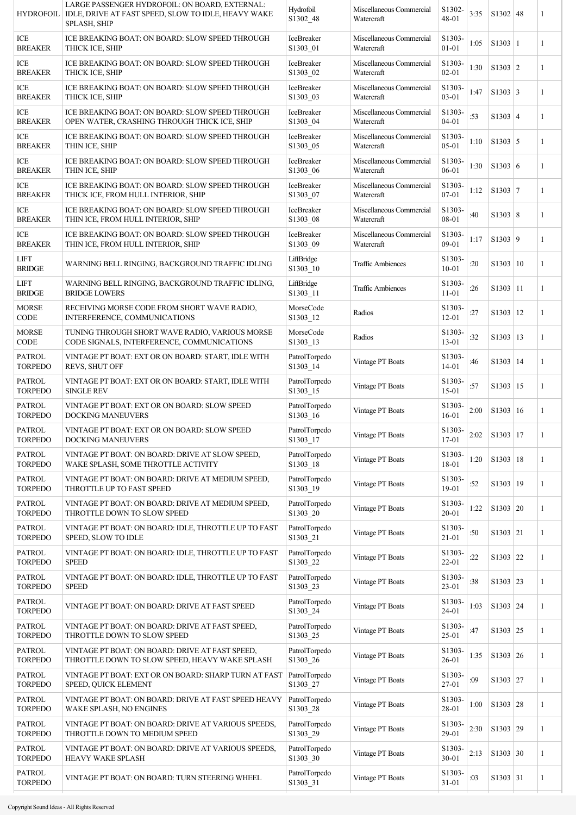| <b>HYDROFOIL</b>                | LARGE PASSENGER HYDROFOIL: ON BOARD, EXTERNAL:<br>IDLE, DRIVE AT FAST SPEED, SLOW TO IDLE, HEAVY WAKE<br>SPLASH, SHIP | Hydrofoil<br>S1302_48     | Miscellaneous Commercial<br>Watercraft | S1302-<br>48-01     | 3:35 | $S1302$ 48              | 1            |
|---------------------------------|-----------------------------------------------------------------------------------------------------------------------|---------------------------|----------------------------------------|---------------------|------|-------------------------|--------------|
| ICE<br><b>BREAKER</b>           | ICE BREAKING BOAT: ON BOARD: SLOW SPEED THROUGH<br>THICK ICE, SHIP                                                    | IceBreaker<br>S1303_01    | Miscellaneous Commercial<br>Watercraft | S1303-<br>$01 - 01$ | 1:05 | S1303 1                 | 1            |
| ICE<br><b>BREAKER</b>           | ICE BREAKING BOAT: ON BOARD: SLOW SPEED THROUGH<br>THICK ICE, SHIP                                                    | IceBreaker<br>S1303_02    | Miscellaneous Commercial<br>Watercraft | S1303-<br>$02 - 01$ | 1:30 | $\vert$ S1303 $\vert$ 2 | 1            |
| ICE<br><b>BREAKER</b>           | ICE BREAKING BOAT: ON BOARD: SLOW SPEED THROUGH<br>THICK ICE, SHIP                                                    | IceBreaker<br>S1303_03    | Miscellaneous Commercial<br>Watercraft | S1303-<br>$03 - 01$ | 1:47 | $S1303 \mid 3$          | 1            |
| ICE<br><b>BREAKER</b>           | ICE BREAKING BOAT: ON BOARD: SLOW SPEED THROUGH<br>OPEN WATER, CRASHING THROUGH THICK ICE, SHIP                       | IceBreaker<br>S1303_04    | Miscellaneous Commercial<br>Watercraft | S1303-<br>$04 - 01$ | :53  | $S1303 \mid 4$          | 1            |
| ICE<br><b>BREAKER</b>           | ICE BREAKING BOAT: ON BOARD: SLOW SPEED THROUGH<br>THIN ICE, SHIP                                                     | IceBreaker<br>S1303_05    | Miscellaneous Commercial<br>Watercraft | S1303-<br>$05-01$   | 1:10 | $S1303 \mid 5$          | 1            |
| ICE<br><b>BREAKER</b>           | ICE BREAKING BOAT: ON BOARD: SLOW SPEED THROUGH<br>THIN ICE, SHIP                                                     | IceBreaker<br>S1303_06    | Miscellaneous Commercial<br>Watercraft | S1303-<br>$06 - 01$ | 1:30 | $\vert$ S1303 $\vert$ 6 | 1            |
| ICE<br><b>BREAKER</b>           | ICE BREAKING BOAT: ON BOARD: SLOW SPEED THROUGH<br>THICK ICE, FROM HULL INTERIOR, SHIP                                | IceBreaker<br>S1303_07    | Miscellaneous Commercial<br>Watercraft | S1303-<br>$07 - 01$ | 1:12 | S1303 7                 | 1            |
| ICE<br><b>BREAKER</b>           | ICE BREAKING BOAT: ON BOARD: SLOW SPEED THROUGH<br>THIN ICE, FROM HULL INTERIOR, SHIP                                 | IceBreaker<br>S1303_08    | Miscellaneous Commercial<br>Watercraft | S1303-<br>08-01     | :40  | S1303   8               | 1            |
| ICE<br><b>BREAKER</b>           | ICE BREAKING BOAT: ON BOARD: SLOW SPEED THROUGH<br>THIN ICE, FROM HULL INTERIOR, SHIP                                 | IceBreaker<br>S1303_09    | Miscellaneous Commercial<br>Watercraft | S1303-<br>09-01     | 1:17 | S1303   9               | $\mathbf{1}$ |
| <b>LIFT</b><br><b>BRIDGE</b>    | WARNING BELL RINGING, BACKGROUND TRAFFIC IDLING                                                                       | LiftBridge<br>S1303_10    | <b>Traffic Ambiences</b>               | S1303-<br>$10 - 01$ | :20  | S1303   10              | 1            |
| <b>LIFT</b><br><b>BRIDGE</b>    | WARNING BELL RINGING, BACKGROUND TRAFFIC IDLING,<br><b>BRIDGE LOWERS</b>                                              | LiftBridge<br>S1303_11    | <b>Traffic Ambiences</b>               | S1303-<br>$11 - 01$ | :26  | S1303   11              | $\mathbf{1}$ |
| <b>MORSE</b><br>CODE            | RECEIVING MORSE CODE FROM SHORT WAVE RADIO,<br>INTERFERENCE, COMMUNICATIONS                                           | MorseCode<br>S1303_12     | Radios                                 | S1303-<br>$12 - 01$ | :27  | S1303 12                | 1            |
| <b>MORSE</b><br>CODE            | TUNING THROUGH SHORT WAVE RADIO, VARIOUS MORSE<br>CODE SIGNALS, INTERFERENCE, COMMUNICATIONS                          | MorseCode<br>S1303 13     | Radios                                 | S1303-<br>$13 - 01$ | :32  | S1303   13              | 1            |
| <b>PATROL</b><br>TORPEDO        | VINTAGE PT BOAT: EXT OR ON BOARD: START, IDLE WITH<br><b>REVS, SHUT OFF</b>                                           | PatrolTorpedo<br>S1303_14 | Vintage PT Boats                       | S1303-<br>14-01     | :46  | S1303 14                | 1            |
| <b>PATROL</b><br><b>TORPEDO</b> | VINTAGE PT BOAT: EXT OR ON BOARD: START, IDLE WITH<br><b>SINGLE REV</b>                                               | PatrolTorpedo<br>S1303_15 | Vintage PT Boats                       | S1303-<br>$15 - 01$ | :57  | S1303 15                | 1            |
| <b>PATROL</b><br>TORPEDO        | VINTAGE PT BOAT: EXT OR ON BOARD: SLOW SPEED<br>DOCKING MANEUVERS                                                     | PatrolTorpedo<br>S1303_16 | Vintage PT Boats                       | S1303-<br>$16 - 01$ | 2:00 | S1303 16                | $\mathbf{1}$ |
| <b>PATROL</b><br><b>TORPEDO</b> | VINTAGE PT BOAT: EXT OR ON BOARD: SLOW SPEED<br>DOCKING MANEUVERS                                                     | PatrolTorpedo<br>S1303_17 | Vintage PT Boats                       | S1303-<br>$17 - 01$ | 2:02 | S1303   17              | 1            |
| <b>PATROL</b><br><b>TORPEDO</b> | VINTAGE PT BOAT: ON BOARD: DRIVE AT SLOW SPEED,<br>WAKE SPLASH, SOME THROTTLE ACTIVITY                                | PatrolTorpedo<br>S1303_18 | Vintage PT Boats                       | S1303-<br>18-01     | 1:20 | S1303   18              | 1            |
| <b>PATROL</b><br><b>TORPEDO</b> | VINTAGE PT BOAT: ON BOARD: DRIVE AT MEDIUM SPEED,<br>THROTTLE UP TO FAST SPEED                                        | PatrolTorpedo<br>S1303_19 | Vintage PT Boats                       | S1303-<br>19-01     | :52  | S1303   19              | 1            |
| <b>PATROL</b><br><b>TORPEDO</b> | VINTAGE PT BOAT: ON BOARD: DRIVE AT MEDIUM SPEED,<br>THROTTLE DOWN TO SLOW SPEED                                      | PatrolTorpedo<br>S1303_20 | Vintage PT Boats                       | S1303-<br>20-01     | 1:22 | S1303   20              | 1            |
| <b>PATROL</b><br><b>TORPEDO</b> | VINTAGE PT BOAT: ON BOARD: IDLE, THROTTLE UP TO FAST<br>SPEED, SLOW TO IDLE                                           | PatrolTorpedo<br>S1303_21 | Vintage PT Boats                       | S1303-<br>21-01     | :50  | S1303   21              | 1            |
| <b>PATROL</b><br><b>TORPEDO</b> | VINTAGE PT BOAT: ON BOARD: IDLE, THROTTLE UP TO FAST<br><b>SPEED</b>                                                  | PatrolTorpedo<br>S1303_22 | Vintage PT Boats                       | S1303-<br>$22 - 01$ | :22  | S1303 22                | 1            |
| <b>PATROL</b><br><b>TORPEDO</b> | VINTAGE PT BOAT: ON BOARD: IDLE, THROTTLE UP TO FAST<br><b>SPEED</b>                                                  | PatrolTorpedo<br>S1303_23 | Vintage PT Boats                       | S1303-<br>$23 - 01$ | :38  | S1303   23              | 1            |
| <b>PATROL</b><br><b>TORPEDO</b> | VINTAGE PT BOAT: ON BOARD: DRIVE AT FAST SPEED                                                                        | PatrolTorpedo<br>S1303_24 | Vintage PT Boats                       | S1303-<br>$24 - 01$ | 1:03 | S1303   24              | 1            |
| <b>PATROL</b><br><b>TORPEDO</b> | VINTAGE PT BOAT: ON BOARD: DRIVE AT FAST SPEED,<br>THROTTLE DOWN TO SLOW SPEED                                        | PatrolTorpedo<br>S1303_25 | Vintage PT Boats                       | S1303-<br>$25 - 01$ | :47  | S1303   25              | 1            |
| <b>PATROL</b><br><b>TORPEDO</b> | VINTAGE PT BOAT: ON BOARD: DRIVE AT FAST SPEED,<br>THROTTLE DOWN TO SLOW SPEED, HEAVY WAKE SPLASH                     | PatrolTorpedo<br>S1303_26 | Vintage PT Boats                       | S1303-<br>$26 - 01$ | 1:35 | S1303   26              | 1            |
| <b>PATROL</b><br><b>TORPEDO</b> | VINTAGE PT BOAT: EXT OR ON BOARD: SHARP TURN AT FAST<br>SPEED, QUICK ELEMENT                                          | PatrolTorpedo<br>S1303_27 | Vintage PT Boats                       | S1303-<br>27-01     | :09  | S1303 27                | 1            |
| <b>PATROL</b><br>TORPEDO        | VINTAGE PT BOAT: ON BOARD: DRIVE AT FAST SPEED HEAVY<br>WAKE SPLASH, NO ENGINES                                       | PatrolTorpedo<br>S1303_28 | Vintage PT Boats                       | S1303-<br>28-01     | 1:00 | S1303 28                | 1            |
| <b>PATROL</b><br><b>TORPEDO</b> | VINTAGE PT BOAT: ON BOARD: DRIVE AT VARIOUS SPEEDS,<br>THROTTLE DOWN TO MEDIUM SPEED                                  | PatrolTorpedo<br>S1303_29 | Vintage PT Boats                       | S1303-<br>29-01     | 2:30 | S1303   29              | 1            |
| <b>PATROL</b><br><b>TORPEDO</b> | VINTAGE PT BOAT: ON BOARD: DRIVE AT VARIOUS SPEEDS,<br>HEAVY WAKE SPLASH                                              | PatrolTorpedo<br>S1303_30 | Vintage PT Boats                       | S1303-<br>30-01     | 2:13 | S1303 30                | $\mathbf{1}$ |
| <b>PATROL</b><br><b>TORPEDO</b> | VINTAGE PT BOAT: ON BOARD: TURN STEERING WHEEL                                                                        | PatrolTorpedo<br>S1303_31 | Vintage PT Boats                       | S1303-<br>$31 - 01$ | :03  | S1303   31              | 1            |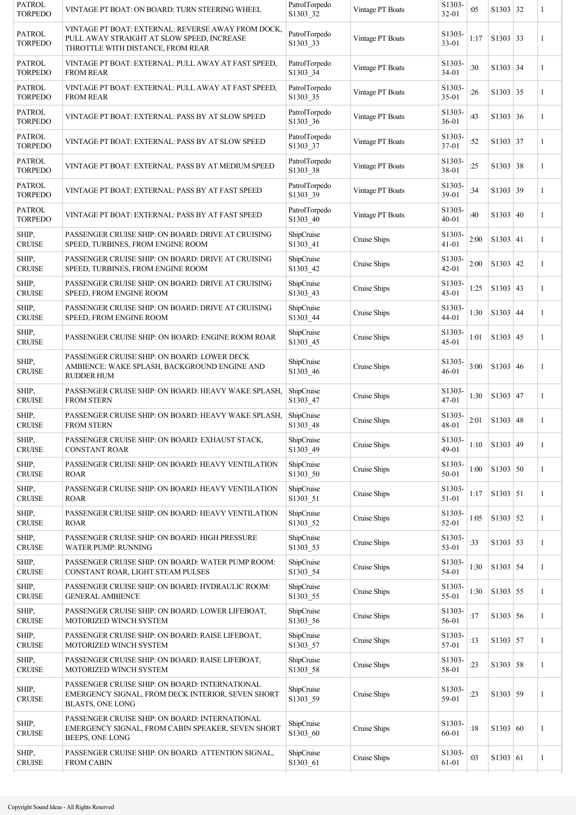| VINTAGE PT BOAT: ON BOARD: TURN STEERING WHEEL                                                                                        | PatrolTorpedo<br>S1303_32 | Vintage PT Boats | S1303-<br>$32 - 01$          | :05  | S1303 32 | $\mathbf{1}$                                                                                                                                                                                                                                                                                                                                                                                             |
|---------------------------------------------------------------------------------------------------------------------------------------|---------------------------|------------------|------------------------------|------|----------|----------------------------------------------------------------------------------------------------------------------------------------------------------------------------------------------------------------------------------------------------------------------------------------------------------------------------------------------------------------------------------------------------------|
| VINTAGE PT BOAT: EXTERNAL: REVERSE AWAY FROM DOCK,<br>PULL AWAY STRAIGHT AT SLOW SPEED, INCREASE<br>THROTTLE WITH DISTANCE, FROM REAR | PatrolTorpedo<br>S1303_33 | Vintage PT Boats | S1303-<br>$33 - 01$          | 1:17 |          | $\mathbf{1}$                                                                                                                                                                                                                                                                                                                                                                                             |
| VINTAGE PT BOAT: EXTERNAL: PULL AWAY AT FAST SPEED,<br><b>FROM REAR</b>                                                               | PatrolTorpedo<br>S1303_34 | Vintage PT Boats | S1303-<br>34-01              | :30  |          | $\mathbf{1}$                                                                                                                                                                                                                                                                                                                                                                                             |
| VINTAGE PT BOAT: EXTERNAL: PULL AWAY AT FAST SPEED,<br><b>FROM REAR</b>                                                               | PatrolTorpedo<br>S1303_35 | Vintage PT Boats | S1303-<br>$35 - 01$          | :26  |          | 1                                                                                                                                                                                                                                                                                                                                                                                                        |
| VINTAGE PT BOAT: EXTERNAL: PASS BY AT SLOW SPEED                                                                                      | PatrolTorpedo<br>S1303_36 | Vintage PT Boats | S1303-<br>$36 - 01$          | :43  |          | $\mathbf{1}$                                                                                                                                                                                                                                                                                                                                                                                             |
| VINTAGE PT BOAT: EXTERNAL: PASS BY AT SLOW SPEED                                                                                      | PatrolTorpedo<br>S1303 37 | Vintage PT Boats | S1303-<br>37-01              | :52  |          | 1                                                                                                                                                                                                                                                                                                                                                                                                        |
| VINTAGE PT BOAT: EXTERNAL: PASS BY AT MEDIUM SPEED                                                                                    | PatrolTorpedo<br>S1303_38 | Vintage PT Boats | S1303-<br>38-01              | :25  |          | 1                                                                                                                                                                                                                                                                                                                                                                                                        |
| VINTAGE PT BOAT: EXTERNAL: PASS BY AT FAST SPEED                                                                                      | PatrolTorpedo<br>S1303_39 | Vintage PT Boats | S1303-<br>39-01              | :34  |          | 1                                                                                                                                                                                                                                                                                                                                                                                                        |
| VINTAGE PT BOAT: EXTERNAL: PASS BY AT FAST SPEED                                                                                      | PatrolTorpedo<br>S1303_40 | Vintage PT Boats | S1303-<br>$40 - 01$          | :40  |          | 1                                                                                                                                                                                                                                                                                                                                                                                                        |
| PASSENGER CRUISE SHIP: ON BOARD: DRIVE AT CRUISING<br>SPEED, TURBINES, FROM ENGINE ROOM                                               | ShipCruise<br>S1303_41    | Cruise Ships     | S1303<br>$41 - 01$           | 2:00 |          | 1                                                                                                                                                                                                                                                                                                                                                                                                        |
| PASSENGER CRUISE SHIP: ON BOARD: DRIVE AT CRUISING<br>SPEED, TURBINES, FROM ENGINE ROOM                                               | ShipCruise<br>S1303_42    | Cruise Ships     | S1303<br>$42 - 01$           | 2:00 |          | 1                                                                                                                                                                                                                                                                                                                                                                                                        |
| PASSENGER CRUISE SHIP: ON BOARD: DRIVE AT CRUISING<br>SPEED, FROM ENGINE ROOM                                                         | ShipCruise<br>S1303_43    | Cruise Ships     | S1303-<br>43-01              | 1:25 |          | $\mathbf{1}$                                                                                                                                                                                                                                                                                                                                                                                             |
| PASSENGER CRUISE SHIP: ON BOARD: DRIVE AT CRUISING<br>SPEED, FROM ENGINE ROOM                                                         | ShipCruise<br>S1303_44    | Cruise Ships     | S1303-<br>$44 - 01$          | 1:30 |          | 1                                                                                                                                                                                                                                                                                                                                                                                                        |
| PASSENGER CRUISE SHIP: ON BOARD: ENGINE ROOM ROAR                                                                                     | ShipCruise<br>S1303_45    | Cruise Ships     | S1303-<br>$45 - 01$          | 1:01 |          | 1                                                                                                                                                                                                                                                                                                                                                                                                        |
| PASSENGER CRUISE SHIP: ON BOARD: LOWER DECK<br>AMBIENCE: WAKE SPLASH, BACKGROUND ENGINE AND<br><b>RUDDER HUM</b>                      | ShipCruise<br>S1303 46    | Cruise Ships     | S1303-<br>$46 - 01$          | 3:00 |          | 1                                                                                                                                                                                                                                                                                                                                                                                                        |
| PASSENGER CRUISE SHIP: ON BOARD: HEAVY WAKE SPLASH,<br><b>FROM STERN</b>                                                              | ShipCruise<br>S1303_47    | Cruise Ships     | S1303-<br>$47 - 01$          | 1:30 |          | $\mathbf{1}$                                                                                                                                                                                                                                                                                                                                                                                             |
| PASSENGER CRUISE SHIP: ON BOARD: HEAVY WAKE SPLASH,<br><b>FROM STERN</b>                                                              | ShipCruise<br>S1303_48    | Cruise Ships     | S <sub>1303</sub> .<br>48-01 | 2:01 |          | 1                                                                                                                                                                                                                                                                                                                                                                                                        |
| PASSENGER CRUISE SHIP: ON BOARD: EXHAUST STACK,<br><b>CONSTANT ROAR</b>                                                               | ShipCruise<br>S1303_49    | Cruise Ships     | S1303-<br>49-01              | 1:10 |          | $\mathbf{1}$                                                                                                                                                                                                                                                                                                                                                                                             |
| PASSENGER CRUISE SHIP: ON BOARD: HEAVY VENTILATION<br>ROAR                                                                            | ShipCruise<br>S1303_50    | Cruise Ships     | S1303-<br>50-01              | 1:00 |          | $\mathbf{1}$                                                                                                                                                                                                                                                                                                                                                                                             |
| PASSENGER CRUISE SHIP: ON BOARD: HEAVY VENTILATION<br><b>ROAR</b>                                                                     | ShipCruise<br>S1303_51    | Cruise Ships     | S1303-<br>51-01              | 1:17 |          | 1                                                                                                                                                                                                                                                                                                                                                                                                        |
| PASSENGER CRUISE SHIP: ON BOARD: HEAVY VENTILATION<br><b>ROAR</b>                                                                     | ShipCruise<br>S1303_52    | Cruise Ships     | S <sub>1303</sub> .<br>52-01 | 1:05 |          | 1                                                                                                                                                                                                                                                                                                                                                                                                        |
| PASSENGER CRUISE SHIP: ON BOARD: HIGH PRESSURE<br><b>WATER PUMP: RUNNING</b>                                                          | ShipCruise<br>S1303_53    | Cruise Ships     | S1303-<br>53-01              | :33  |          | 1                                                                                                                                                                                                                                                                                                                                                                                                        |
| PASSENGER CRUISE SHIP: ON BOARD: WATER PUMP ROOM:<br>CONSTANT ROAR, LIGHT STEAM PULSES                                                | ShipCruise<br>S1303_54    | Cruise Ships     | S1303<br>54-01               | 1:30 |          | $\mathbf{1}$                                                                                                                                                                                                                                                                                                                                                                                             |
| PASSENGER CRUISE SHIP: ON BOARD: HYDRAULIC ROOM:<br><b>GENERAL AMBIENCE</b>                                                           | ShipCruise<br>S1303_55    | Cruise Ships     | S1303-<br>55-01              | 1:30 |          | 1                                                                                                                                                                                                                                                                                                                                                                                                        |
| PASSENGER CRUISE SHIP: ON BOARD: LOWER LIFEBOAT,<br>MOTORIZED WINCH SYSTEM                                                            | ShipCruise<br>S1303_56    | Cruise Ships     | S1303-<br>56-01              | :17  |          | $\mathbf{1}$                                                                                                                                                                                                                                                                                                                                                                                             |
| PASSENGER CRUISE SHIP: ON BOARD: RAISE LIFEBOAT,<br>MOTORIZED WINCH SYSTEM                                                            | ShipCruise<br>S1303_57    | Cruise Ships     | S <sub>1303</sub> .<br>57-01 | :13  |          | 1                                                                                                                                                                                                                                                                                                                                                                                                        |
| PASSENGER CRUISE SHIP: ON BOARD: RAISE LIFEBOAT,<br>MOTORIZED WINCH SYSTEM                                                            | ShipCruise<br>S1303_58    | Cruise Ships     | S1303-<br>58-01              | :23  |          | $\mathbf{1}$                                                                                                                                                                                                                                                                                                                                                                                             |
| PASSENGER CRUISE SHIP: ON BOARD: INTERNATIONAL<br>EMERGENCY SIGNAL, FROM DECK INTERIOR, SEVEN SHORT<br><b>BLASTS, ONE LONG</b>        | ShipCruise<br>S1303_59    | Cruise Ships     | S <sub>1303</sub> .<br>59-01 | :23  |          | 1                                                                                                                                                                                                                                                                                                                                                                                                        |
| PASSENGER CRUISE SHIP: ON BOARD: INTERNATIONAL<br>EMERGENCY SIGNAL, FROM CABIN SPEAKER, SEVEN SHORT<br>BEEPS, ONE LONG                | ShipCruise<br>S1303_60    | Cruise Ships     | S1303-<br>60-01              | :18  |          | 1                                                                                                                                                                                                                                                                                                                                                                                                        |
| PASSENGER CRUISE SHIP: ON BOARD: ATTENTION SIGNAL,<br><b>FROM CABIN</b>                                                               | ShipCruise<br>S1303_61    | Cruise Ships     | S1303-<br>61-01              | :03  |          | $\mathbf{1}$                                                                                                                                                                                                                                                                                                                                                                                             |
|                                                                                                                                       |                           |                  |                              |      |          | S1303   33<br>S1303 34<br>S1303   35<br>S1303   36<br>S1303 37<br>S1303 38<br>S1303 39<br>S1303   40<br>S1303   41<br>S1303   42<br>S1303   43<br>S1303   44<br>S1303   45<br>S1303   46<br>S1303   47<br>S1303   48<br>S1303   49<br>S1303   50<br>S1303   51<br>S1303 52<br>S1303   53<br>S1303   54<br>S1303   55<br>S1303   56<br>S1303   57<br>S1303   58<br>S1303   59<br>S1303   60<br>S1303   61 |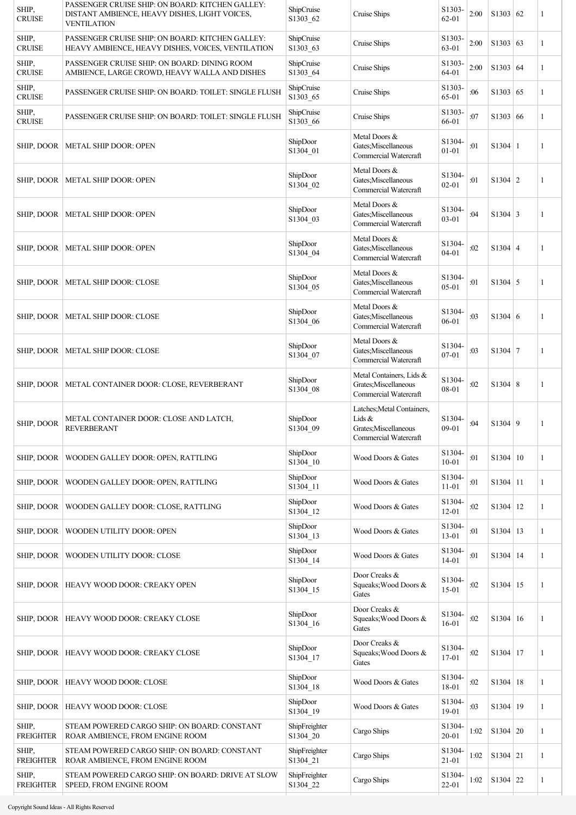| SHIP,<br><b>CRUISE</b>    | PASSENGER CRUISE SHIP: ON BOARD: KITCHEN GALLEY:<br>DISTANT AMBIENCE, HEAVY DISHES, LIGHT VOICES,<br><b>VENTILATION</b> | ShipCruise<br>S1303_62    | Cruise Ships                                                                           | S1303-<br>$62 - 01$ | 2:00 | S1303   62     | 1 |
|---------------------------|-------------------------------------------------------------------------------------------------------------------------|---------------------------|----------------------------------------------------------------------------------------|---------------------|------|----------------|---|
| SHIP,<br><b>CRUISE</b>    | PASSENGER CRUISE SHIP: ON BOARD: KITCHEN GALLEY:<br>HEAVY AMBIENCE, HEAVY DISHES, VOICES, VENTILATION                   | ShipCruise<br>S1303_63    | Cruise Ships                                                                           | S1303-<br>63-01     | 2:00 | S1303   63     | 1 |
| SHIP,<br><b>CRUISE</b>    | PASSENGER CRUISE SHIP: ON BOARD: DINING ROOM<br>AMBIENCE, LARGE CROWD, HEAVY WALLA AND DISHES                           | ShipCruise<br>S1303_64    | Cruise Ships                                                                           | S1303<br>64-01      | 2:00 | S1303   64     | 1 |
| SHIP,<br><b>CRUISE</b>    | PASSENGER CRUISE SHIP: ON BOARD: TOILET: SINGLE FLUSH                                                                   | ShipCruise<br>S1303_65    | Cruise Ships                                                                           | S1303-<br>65-01     | :06  | S1303   65     | 1 |
| SHIP,<br><b>CRUISE</b>    | PASSENGER CRUISE SHIP: ON BOARD: TOILET: SINGLE FLUSH                                                                   | ShipCruise<br>S1303_66    | Cruise Ships                                                                           | S1303-<br>66-01     | :07  | S1303   66     | 1 |
| SHIP, DOOR                | <b>METAL SHIP DOOR: OPEN</b>                                                                                            | ShipDoor<br>S1304_01      | Metal Doors &<br>Gates; Miscellaneous<br>Commercial Watercraft                         | S1304-<br>$01 - 01$ | :01  | $S1304 \mid 1$ | 1 |
| SHIP, DOOR                | <b>METAL SHIP DOOR: OPEN</b>                                                                                            | ShipDoor<br>S1304_02      | Metal Doors &<br>Gates; Miscellaneous<br>Commercial Watercraft                         | S1304-<br>$02 - 01$ | :01  | $S1304 \mid 2$ | 1 |
| SHIP, DOOR                | METAL SHIP DOOR: OPEN                                                                                                   | ShipDoor<br>S1304_03      | Metal Doors &<br>Gates; Miscellaneous<br>Commercial Watercraft                         | S1304-<br>03-01     | :04  | $S1304 \mid 3$ | 1 |
| SHIP, DOOR                | METAL SHIP DOOR: OPEN                                                                                                   | ShipDoor<br>S1304_04      | Metal Doors &<br>Gates; Miscellaneous<br>Commercial Watercraft                         | S1304-<br>$04 - 01$ | :02  | $S1304 \mid 4$ | 1 |
| SHIP, DOOR                | METAL SHIP DOOR: CLOSE                                                                                                  | ShipDoor<br>S1304_05      | Metal Doors &<br>Gates; Miscellaneous<br>Commercial Watercraft                         | S1304-<br>$05 - 01$ | :01  | $S1304 \mid 5$ | 1 |
| SHIP, DOOR                | <b>METAL SHIP DOOR: CLOSE</b>                                                                                           | ShipDoor<br>S1304_06      | Metal Doors &<br>Gates; Miscellaneous<br>Commercial Watercraft                         | S1304-<br>06-01     | :03  | $S1304 \mid 6$ | 1 |
| SHIP, DOOR                | <b>METAL SHIP DOOR: CLOSE</b>                                                                                           | ShipDoor<br>S1304_07      | Metal Doors &<br>Gates; Miscellaneous<br>Commercial Watercraft                         | S1304-<br>$07 - 01$ | :03  | $S1304$ 7      | 1 |
| SHIP, DOOR                | METAL CONTAINER DOOR: CLOSE, REVERBERANT                                                                                | ShipDoor<br>S1304_08      | Metal Containers, Lids &<br>Grates; Miscellaneous<br>Commercial Watercraft             | S1304-<br>08-01     | :02  | S1304   8      | 1 |
| SHIP, DOOR                | METAL CONTAINER DOOR: CLOSE AND LATCH,<br><b>REVERBERANT</b>                                                            | ShipDoor<br>S1304_09      | Latches; Metal Containers,<br>Lids &<br>Grates; Miscellaneous<br>Commercial Watercraft | S1304-<br>$09 - 01$ | :04  | S1304   9      | 1 |
| SHIP, DOOR                | WOODEN GALLEY DOOR: OPEN, RATTLING                                                                                      | ShipDoor<br>S1304_10      | Wood Doors & Gates                                                                     | S1304-<br>$10 - 01$ | :01  | S1304   10     | 1 |
| SHIP, DOOR                | WOODEN GALLEY DOOR: OPEN, RATTLING                                                                                      | ShipDoor<br>S1304_11      | Wood Doors & Gates                                                                     | S1304<br>$11 - 01$  | :01  | $S1304$ 11     | 1 |
| SHIP, DOOR                | WOODEN GALLEY DOOR: CLOSE, RATTLING                                                                                     | ShipDoor<br>S1304_12      | Wood Doors & Gates                                                                     | S1304<br>$12 - 01$  | :02  | S1304 12       | 1 |
| SHIP, DOOR                | WOODEN UTILITY DOOR: OPEN                                                                                               | ShipDoor<br>S1304_13      | Wood Doors & Gates                                                                     | S1304-<br>$13 - 01$ | :01  | S1304 13       | 1 |
| SHIP, DOOR                | WOODEN UTILITY DOOR: CLOSE                                                                                              | ShipDoor<br>S1304_14      | Wood Doors & Gates                                                                     | S1304-<br>$14 - 01$ | :01  | $S1304$   14   | 1 |
| SHIP, DOOR                | HEAVY WOOD DOOR: CREAKY OPEN                                                                                            | ShipDoor<br>S1304_15      | Door Creaks &<br>Squeaks; Wood Doors &<br>Gates                                        | S1304-<br>$15 - 01$ | :02  | S1304   15     | 1 |
| SHIP, DOOR                | HEAVY WOOD DOOR: CREAKY CLOSE                                                                                           | ShipDoor<br>S1304_16      | Door Creaks &<br>Squeaks; Wood Doors &<br>Gates                                        | S1304-<br>$16 - 01$ | :02  | S1304   16     | 1 |
| SHIP, DOOR                | HEAVY WOOD DOOR: CREAKY CLOSE                                                                                           | ShipDoor<br>S1304 17      | Door Creaks &<br>Squeaks; Wood Doors &<br>Gates                                        | S1304-<br>$17 - 01$ | :02  | S1304 17       | 1 |
| SHIP, DOOR                | HEAVY WOOD DOOR: CLOSE                                                                                                  | ShipDoor<br>S1304_18      | Wood Doors & Gates                                                                     | S1304-<br>18-01     | :02  | S1304   18     | 1 |
| SHIP, DOOR                | HEAVY WOOD DOOR: CLOSE                                                                                                  | ShipDoor<br>S1304_19      | Wood Doors & Gates                                                                     | S1304<br>$19 - 01$  | :03  | S1304 19       | 1 |
| SHIP,<br><b>FREIGHTER</b> | STEAM POWERED CARGO SHIP: ON BOARD: CONSTANT<br>ROAR AMBIENCE, FROM ENGINE ROOM                                         | ShipFreighter<br>S1304_20 | Cargo Ships                                                                            | S1304-<br>$20 - 01$ | 1:02 | S1304   20     | 1 |
| SHIP,<br><b>FREIGHTER</b> | STEAM POWERED CARGO SHIP: ON BOARD: CONSTANT<br>ROAR AMBIENCE, FROM ENGINE ROOM                                         | ShipFreighter<br>S1304_21 | Cargo Ships                                                                            | S1304<br>$21 - 01$  | 1:02 | $S1304$ 21     | 1 |
| SHIP,<br><b>FREIGHTER</b> | STEAM POWERED CARGO SHIP: ON BOARD: DRIVE AT SLOW<br>SPEED, FROM ENGINE ROOM                                            | ShipFreighter<br>S1304_22 | Cargo Ships                                                                            | S1304-<br>$22 - 01$ | 1:02 | $S1304$ 22     | 1 |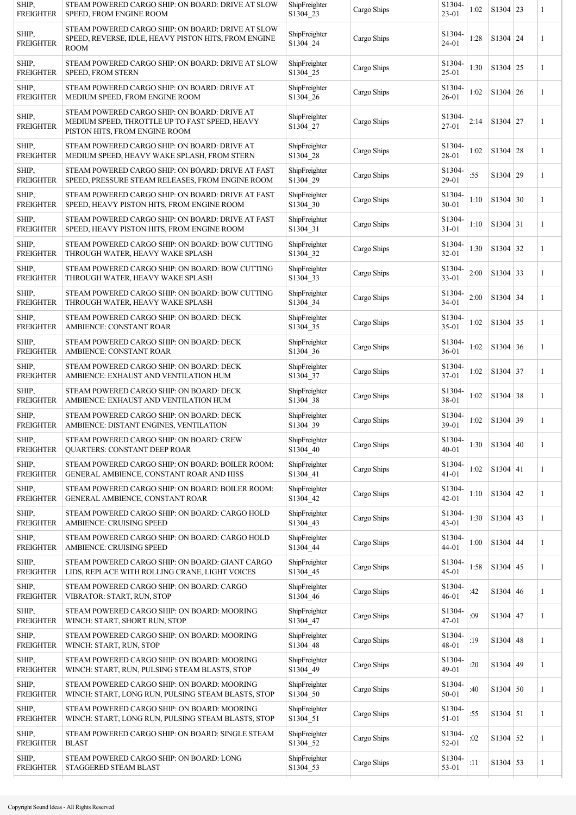| SHIP.<br><b>FREIGHTER</b> | STEAM POWERED CARGO SHIP: ON BOARD: DRIVE AT SLOW<br>SPEED, FROM ENGINE ROOM                                                    | ShipFreighter<br>S1304_23 | Cargo Ships | S1304-<br>$23 - 01$          | 1:02 | $S1304$ 23      | 1            |
|---------------------------|---------------------------------------------------------------------------------------------------------------------------------|---------------------------|-------------|------------------------------|------|-----------------|--------------|
| SHIP,<br><b>FREIGHTER</b> | STEAM POWERED CARGO SHIP: ON BOARD: DRIVE AT SLOW<br>SPEED, REVERSE, IDLE, HEAVY PISTON HITS, FROM ENGINE<br><b>ROOM</b>        | ShipFreighter<br>S1304_24 | Cargo Ships | S1304-<br>$24 - 01$          | 1:28 | S1304 24        | 1            |
| SHIP,<br><b>FREIGHTER</b> | STEAM POWERED CARGO SHIP: ON BOARD: DRIVE AT SLOW<br><b>SPEED, FROM STERN</b>                                                   | ShipFreighter<br>S1304_25 | Cargo Ships | S1304-<br>$25 - 01$          | 1:30 | $S1304$ 25      | 1            |
| SHIP,<br><b>FREIGHTER</b> | STEAM POWERED CARGO SHIP: ON BOARD: DRIVE AT<br>MEDIUM SPEED, FROM ENGINE ROOM                                                  | ShipFreighter<br>S1304_26 | Cargo Ships | S1304-<br>$26 - 01$          | 1:02 | S1304   26      | 1            |
| SHIP,<br><b>FREIGHTER</b> | STEAM POWERED CARGO SHIP: ON BOARD: DRIVE AT<br>MEDIUM SPEED, THROTTLE UP TO FAST SPEED, HEAVY<br>PISTON HITS, FROM ENGINE ROOM | ShipFreighter<br>S1304_27 | Cargo Ships | S1304-<br>27-01              | 2:14 | S1304 27        | 1            |
| SHIP,<br><b>FREIGHTER</b> | STEAM POWERED CARGO SHIP: ON BOARD: DRIVE AT<br>MEDIUM SPEED, HEAVY WAKE SPLASH, FROM STERN                                     | ShipFreighter<br>S1304_28 | Cargo Ships | S1304-<br>28-01              | 1:02 | S1304   28      | 1            |
| SHIP,<br><b>FREIGHTER</b> | STEAM POWERED CARGO SHIP: ON BOARD: DRIVE AT FAST<br>SPEED, PRESSURE STEAM RELEASES, FROM ENGINE ROOM                           | ShipFreighter<br>S1304 29 | Cargo Ships | S1304-<br>29-01              | :55  | S1304 29        | 1            |
| SHIP,<br><b>FREIGHTER</b> | STEAM POWERED CARGO SHIP: ON BOARD: DRIVE AT FAST<br>SPEED, HEAVY PISTON HITS, FROM ENGINE ROOM                                 | ShipFreighter<br>S1304_30 | Cargo Ships | S1304-<br>$30 - 01$          | 1:10 | $S1304$ 30      | $\mathbf{1}$ |
| SHIP,<br><b>FREIGHTER</b> | STEAM POWERED CARGO SHIP: ON BOARD: DRIVE AT FAST<br>SPEED, HEAVY PISTON HITS, FROM ENGINE ROOM                                 | ShipFreighter<br>S1304_31 | Cargo Ships | S1304-<br>$31 - 01$          | 1:10 | $S1304$ 31      | 1            |
| SHIP,<br><b>FREIGHTER</b> | STEAM POWERED CARGO SHIP: ON BOARD: BOW CUTTING<br>THROUGH WATER, HEAVY WAKE SPLASH                                             | ShipFreighter<br>S1304_32 | Cargo Ships | S1304<br>32-01               | 1:30 | $S1304$ 32      | 1            |
| SHIP,<br><b>FREIGHTER</b> | STEAM POWERED CARGO SHIP: ON BOARD: BOW CUTTING<br>THROUGH WATER, HEAVY WAKE SPLASH                                             | ShipFreighter<br>S1304_33 | Cargo Ships | S1304-<br>33-01              | 2:00 | S1304 33        | 1            |
| SHIP,<br><b>FREIGHTER</b> | STEAM POWERED CARGO SHIP: ON BOARD: BOW CUTTING<br>THROUGH WATER, HEAVY WAKE SPLASH                                             | ShipFreighter<br>S1304 34 | Cargo Ships | S1304-<br>$34 - 01$          | 2:00 | S1304 34        | 1            |
| SHIP,<br><b>FREIGHTER</b> | STEAM POWERED CARGO SHIP: ON BOARD: DECK<br>AMBIENCE: CONSTANT ROAR                                                             | ShipFreighter<br>S1304_35 | Cargo Ships | S1304-<br>$35 - 01$          | 1:02 | $S1304$ 35      | $\mathbf{1}$ |
| SHIP,<br><b>FREIGHTER</b> | STEAM POWERED CARGO SHIP: ON BOARD: DECK<br>AMBIENCE: CONSTANT ROAR                                                             | ShipFreighter<br>S1304_36 | Cargo Ships | S1304-<br>$36 - 01$          | 1:02 | $S1304 \mid 36$ | 1            |
| SHIP,<br><b>FREIGHTER</b> | STEAM POWERED CARGO SHIP: ON BOARD: DECK<br>AMBIENCE: EXHAUST AND VENTILATION HUM                                               | ShipFreighter<br>S1304_37 | Cargo Ships | S1304-<br>37-01              | 1:02 | S1304 37        | 1            |
| SHIP,<br><b>FREIGHTER</b> | STEAM POWERED CARGO SHIP: ON BOARD: DECK<br>AMBIENCE: EXHAUST AND VENTILATION HUM                                               | ShipFreighter<br>S1304_38 | Cargo Ships | S1304-<br>38-01              | 1:02 | $S1304$ 38      | 1            |
| SHIP,<br><b>FREIGHTER</b> | STEAM POWERED CARGO SHIP: ON BOARD: DECK<br>AMBIENCE: DISTANT ENGINES, VENTILATION                                              | ShipFreighter<br>S1304_39 | Cargo Ships | S1304-<br>39-01              | 1:02 | S1304 39        | 1            |
| SHIP,<br><b>FREIGHTER</b> | STEAM POWERED CARGO SHIP: ON BOARD: CREW<br>QUARTERS: CONSTANT DEEP ROAR                                                        | ShipFreighter<br>S1304_40 | Cargo Ships | S1304-<br>$40 - 01$          | 1:30 | S1304   40      | 1            |
| SHIP,<br><b>FREIGHTER</b> | STEAM POWERED CARGO SHIP: ON BOARD: BOILER ROOM:<br>GENERAL AMBIENCE, CONSTANT ROAR AND HISS                                    | ShipFreighter<br>S1304_41 | Cargo Ships | S1304-<br>$41 - 01$          | 1:02 | S1304 41        | 1            |
| SHIP,<br><b>FREIGHTER</b> | STEAM POWERED CARGO SHIP: ON BOARD: BOILER ROOM:<br>GENERAL AMBIENCE, CONSTANT ROAR                                             | ShipFreighter<br>S1304_42 | Cargo Ships | S1304-<br>$42 - 01$          | 1:10 | $S1304$ 42      | 1            |
| SHIP,<br><b>FREIGHTER</b> | STEAM POWERED CARGO SHIP: ON BOARD: CARGO HOLD<br>AMBIENCE: CRUISING SPEED                                                      | ShipFreighter<br>S1304_43 | Cargo Ships | S1304-<br>$43 - 01$          | 1:30 | $S1304$ 43      | 1            |
| SHIP,<br><b>FREIGHTER</b> | STEAM POWERED CARGO SHIP: ON BOARD: CARGO HOLD<br>AMBIENCE: CRUISING SPEED                                                      | ShipFreighter<br>S1304_44 | Cargo Ships | S1304-<br>44-01              | 1:00 | $S1304$ 44      | $\mathbf{1}$ |
| SHIP,<br><b>FREIGHTER</b> | STEAM POWERED CARGO SHIP: ON BOARD: GIANT CARGO<br>LIDS, REPLACE WITH ROLLING CRANE, LIGHT VOICES                               | ShipFreighter<br>S1304_45 | Cargo Ships | S1304-<br>$45 - 01$          | 1:58 | $S1304$ 45      | 1            |
| SHIP,<br><b>FREIGHTER</b> | STEAM POWERED CARGO SHIP: ON BOARD: CARGO<br>VIBRATOR: START, RUN, STOP                                                         | ShipFreighter<br>S1304_46 | Cargo Ships | S1304<br>$46 - 01$           | :42  | $S1304 \mid 46$ | 1            |
| SHIP,<br><b>FREIGHTER</b> | STEAM POWERED CARGO SHIP: ON BOARD: MOORING<br>WINCH: START, SHORT RUN, STOP                                                    | ShipFreighter<br>S1304_47 | Cargo Ships | S <sub>1304</sub><br>47-01   | :09  | S1304 47        | 1            |
| SHIP,<br><b>FREIGHTER</b> | STEAM POWERED CARGO SHIP: ON BOARD: MOORING<br>WINCH: START, RUN, STOP                                                          | ShipFreighter<br>S1304_48 | Cargo Ships | S1304-<br>48-01              | :19  | $S1304$ 48      | 1            |
| SHIP,<br><b>FREIGHTER</b> | STEAM POWERED CARGO SHIP: ON BOARD: MOORING<br>WINCH: START, RUN, PULSING STEAM BLASTS, STOP                                    | ShipFreighter<br>S1304_49 | Cargo Ships | S1304-<br>49-01              | :20  | S1304 49        | 1            |
| SHIP,<br><b>FREIGHTER</b> | STEAM POWERED CARGO SHIP: ON BOARD: MOORING<br>WINCH: START, LONG RUN, PULSING STEAM BLASTS, STOP                               | ShipFreighter<br>S1304_50 | Cargo Ships | S1304-<br>50-01              | :40  | $S1304$ 50      | 1            |
| SHIP,<br>FREIGHTER        | STEAM POWERED CARGO SHIP: ON BOARD: MOORING<br>WINCH: START, LONG RUN, PULSING STEAM BLASTS, STOP                               | ShipFreighter<br>S1304_51 | Cargo Ships | S1304-<br>51-01              | :55  | $S1304$ 51      | 1            |
| SHIP,<br><b>FREIGHTER</b> | STEAM POWERED CARGO SHIP: ON BOARD: SINGLE STEAM<br><b>BLAST</b>                                                                | ShipFreighter<br>S1304_52 | Cargo Ships | S <sub>1304</sub> -<br>52-01 | :02  | S1304 52        | 1            |
| SHIP,<br><b>FREIGHTER</b> | STEAM POWERED CARGO SHIP: ON BOARD: LONG<br>STAGGERED STEAM BLAST                                                               | ShipFreighter<br>S1304_53 | Cargo Ships | S1304-<br>53-01              | :11  | $S1304$ 53      | 1            |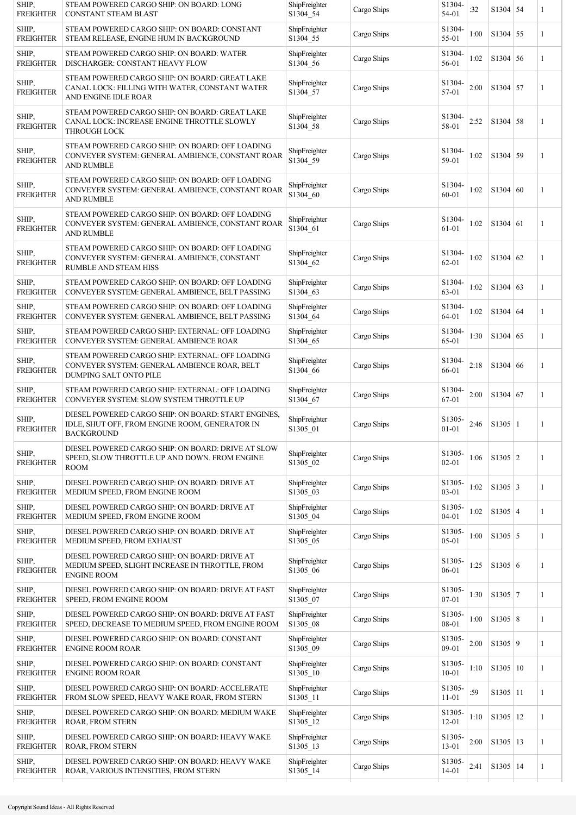| SHIP,<br><b>FREIGHTER</b> | STEAM POWERED CARGO SHIP: ON BOARD: LONG<br>CONSTANT STEAM BLAST                                                           | ShipFreighter<br>S1304_54 | Cargo Ships | S1304-<br>54-01                  | :32  | $S1304$ 54      |    | 1 |
|---------------------------|----------------------------------------------------------------------------------------------------------------------------|---------------------------|-------------|----------------------------------|------|-----------------|----|---|
| SHIP,<br><b>FREIGHTER</b> | STEAM POWERED CARGO SHIP: ON BOARD: CONSTANT<br>STEAM RELEASE, ENGINE HUM IN BACKGROUND                                    | ShipFreighter<br>S1304 55 | Cargo Ships | S1304-<br>55-01                  | 1:00 | S1304 55        |    | 1 |
| SHIP,<br><b>FREIGHTER</b> | STEAM POWERED CARGO SHIP: ON BOARD: WATER<br>DISCHARGER: CONSTANT HEAVY FLOW                                               | ShipFreighter<br>S1304_56 | Cargo Ships | S1304-<br>56-01                  | 1:02 | S1304 56        |    | 1 |
| SHIP,<br><b>FREIGHTER</b> | STEAM POWERED CARGO SHIP: ON BOARD: GREAT LAKE<br>CANAL LOCK: FILLING WITH WATER, CONSTANT WATER<br>AND ENGINE IDLE ROAR   | ShipFreighter<br>S1304 57 | Cargo Ships | S1304<br>57-01                   | 2:00 | S1304 57        |    | 1 |
| SHIP,<br><b>FREIGHTER</b> | STEAM POWERED CARGO SHIP: ON BOARD: GREAT LAKE<br>CANAL LOCK: INCREASE ENGINE THROTTLE SLOWLY<br><b>THROUGH LOCK</b>       | ShipFreighter<br>S1304_58 | Cargo Ships | S1304<br>58-01                   | 2:52 | $S1304$ 58      |    | 1 |
| SHIP,<br><b>FREIGHTER</b> | STEAM POWERED CARGO SHIP: ON BOARD: OFF LOADING<br>CONVEYER SYSTEM: GENERAL AMBIENCE, CONSTANT ROAR<br><b>AND RUMBLE</b>   | ShipFreighter<br>S1304_59 | Cargo Ships | S1304-<br>59-01                  | 1:02 | S1304           | 59 | 1 |
| SHIP,<br><b>FREIGHTER</b> | STEAM POWERED CARGO SHIP: ON BOARD: OFF LOADING<br>CONVEYER SYSTEM: GENERAL AMBIENCE, CONSTANT ROAR<br><b>AND RUMBLE</b>   | ShipFreighter<br>S1304_60 | Cargo Ships | S1304-<br>60-01                  | 1:02 | S1304   60      |    | 1 |
| SHIP,<br><b>FREIGHTER</b> | STEAM POWERED CARGO SHIP: ON BOARD: OFF LOADING<br>CONVEYER SYSTEM: GENERAL AMBIENCE, CONSTANT ROAR<br><b>AND RUMBLE</b>   | ShipFreighter<br>S1304_61 | Cargo Ships | S1304-<br>61-01                  | 1:02 | $S1304$ 61      |    | 1 |
| SHIP,<br><b>FREIGHTER</b> | STEAM POWERED CARGO SHIP: ON BOARD: OFF LOADING<br>CONVEYER SYSTEM: GENERAL AMBIENCE, CONSTANT<br>RUMBLE AND STEAM HISS    | ShipFreighter<br>S1304_62 | Cargo Ships | S1304-<br>$62 - 01$              | 1:02 | $S1304$ 62      |    | 1 |
| SHIP,<br><b>FREIGHTER</b> | STEAM POWERED CARGO SHIP: ON BOARD: OFF LOADING<br>CONVEYER SYSTEM: GENERAL AMBIENCE, BELT PASSING                         | ShipFreighter<br>S1304_63 | Cargo Ships | S1304-<br>63-01                  | 1:02 | S1304   63      |    | 1 |
| SHIP,<br><b>FREIGHTER</b> | STEAM POWERED CARGO SHIP: ON BOARD: OFF LOADING<br>CONVEYER SYSTEM: GENERAL AMBIENCE, BELT PASSING                         | ShipFreighter<br>S1304 64 | Cargo Ships | S1304-<br>64-01                  | 1:02 | $S1304 \mid 64$ |    | 1 |
| SHIP,<br><b>FREIGHTER</b> | STEAM POWERED CARGO SHIP: EXTERNAL: OFF LOADING<br>CONVEYER SYSTEM: GENERAL AMBIENCE ROAR                                  | ShipFreighter<br>S1304_65 | Cargo Ships | S1304-<br>65-01                  | 1:30 | S1304   65      |    | 1 |
| SHIP,<br><b>FREIGHTER</b> | STEAM POWERED CARGO SHIP: EXTERNAL: OFF LOADING<br>CONVEYER SYSTEM: GENERAL AMBIENCE ROAR, BELT<br>DUMPING SALT ONTO PILE  | ShipFreighter<br>S1304 66 | Cargo Ships | S1304-<br>66-01                  | 2:18 | S1304 66        |    | 1 |
| SHIP,<br><b>FREIGHTER</b> | STEAM POWERED CARGO SHIP: EXTERNAL: OFF LOADING<br>CONVEYER SYSTEM: SLOW SYSTEM THROTTLE UP                                | ShipFreighter<br>S1304_67 | Cargo Ships | S1304<br>67-01                   | 2:00 | $S1304$ 67      |    | 1 |
| SHIP,<br><b>FREIGHTER</b> | DIESEL POWERED CARGO SHIP: ON BOARD: START ENGINES,<br>IDLE, SHUT OFF, FROM ENGINE ROOM, GENERATOR IN<br><b>BACKGROUND</b> | ShipFreighter<br>S1305_01 | Cargo Ships | S <sub>1305</sub> .<br>$01 - 01$ | 2:46 | $S1305$  1      |    | 1 |
| SHIP,<br><b>FREIGHTER</b> | DIESEL POWERED CARGO SHIP: ON BOARD: DRIVE AT SLOW<br>SPEED, SLOW THROTTLE UP AND DOWN. FROM ENGINE<br><b>ROOM</b>         | ShipFreighter<br>S1305_02 | Cargo Ships | S1305-<br>$02 - 01$              | 1:06 | $S1305$   2     |    | 1 |
| SHIP,<br><b>FREIGHTER</b> | DIESEL POWERED CARGO SHIP: ON BOARD: DRIVE AT<br>MEDIUM SPEED, FROM ENGINE ROOM                                            | ShipFreighter<br>S1305_03 | Cargo Ships | S1305-<br>$03 - 01$              | 1:02 | $S1305 \mid 3$  |    | 1 |
| SHIP,<br><b>FREIGHTER</b> | DIESEL POWERED CARGO SHIP: ON BOARD: DRIVE AT<br>MEDIUM SPEED, FROM ENGINE ROOM                                            | ShipFreighter<br>S1305_04 | Cargo Ships | S1305-<br>$04 - 01$              | 1:02 | $S1305$ 4       |    | 1 |
| SHIP,<br><b>FREIGHTER</b> | DIESEL POWERED CARGO SHIP: ON BOARD: DRIVE AT<br>MEDIUM SPEED, FROM EXHAUST                                                | ShipFreighter<br>S1305_05 | Cargo Ships | S1305-<br>$05 - 01$              | 1:00 | $S1305$ 5       |    | 1 |
| SHIP,<br><b>FREIGHTER</b> | DIESEL POWERED CARGO SHIP: ON BOARD: DRIVE AT<br>MEDIUM SPEED, SLIGHT INCREASE IN THROTTLE, FROM<br><b>ENGINE ROOM</b>     | ShipFreighter<br>S1305_06 | Cargo Ships | S1305-<br>$06 - 01$              | 1:25 | S1305 6         |    | 1 |
| SHIP,<br><b>FREIGHTER</b> | DIESEL POWERED CARGO SHIP: ON BOARD: DRIVE AT FAST<br>SPEED, FROM ENGINE ROOM                                              | ShipFreighter<br>S1305_07 | Cargo Ships | S1305-<br>$07 - 01$              | 1:30 | $S1305$ 7       |    | 1 |
| SHIP,<br><b>FREIGHTER</b> | DIESEL POWERED CARGO SHIP: ON BOARD: DRIVE AT FAST<br>SPEED, DECREASE TO MEDIUM SPEED, FROM ENGINE ROOM                    | ShipFreighter<br>S1305_08 | Cargo Ships | S1305-<br>08-01                  | 1:00 | S1305 8         |    | 1 |
| SHIP,<br><b>FREIGHTER</b> | DIESEL POWERED CARGO SHIP: ON BOARD: CONSTANT<br><b>ENGINE ROOM ROAR</b>                                                   | ShipFreighter<br>S1305_09 | Cargo Ships | S1305-<br>$09 - 01$              | 2:00 | S1305 9         |    | 1 |
| SHIP,<br><b>FREIGHTER</b> | DIESEL POWERED CARGO SHIP: ON BOARD: CONSTANT<br><b>ENGINE ROOM ROAR</b>                                                   | ShipFreighter<br>S1305_10 | Cargo Ships | S1305-<br>$10 - 01$              | 1:10 | S1305 10        |    | 1 |
| SHIP,<br><b>FREIGHTER</b> | DIESEL POWERED CARGO SHIP: ON BOARD: ACCELERATE<br>FROM SLOW SPEED, HEAVY WAKE ROAR, FROM STERN                            | ShipFreighter<br>S1305_11 | Cargo Ships | S1305-<br>$11 - 01$              | :59  | $S1305$   11    |    | 1 |
| SHIP,<br><b>FREIGHTER</b> | DIESEL POWERED CARGO SHIP: ON BOARD: MEDIUM WAKE<br>ROAR, FROM STERN                                                       | ShipFreighter<br>S1305_12 | Cargo Ships | S1305-<br>$12 - 01$              | 1:10 | S1305 12        |    | 1 |
| SHIP,<br><b>FREIGHTER</b> | DIESEL POWERED CARGO SHIP: ON BOARD: HEAVY WAKE<br>ROAR, FROM STERN                                                        | ShipFreighter<br>S1305_13 | Cargo Ships | S1305-<br>$13 - 01$              | 2:00 | $S1305$ 13      |    | 1 |
| SHIP,<br><b>FREIGHTER</b> | DIESEL POWERED CARGO SHIP: ON BOARD: HEAVY WAKE<br>ROAR, VARIOUS INTENSITIES, FROM STERN                                   | ShipFreighter<br>S1305_14 | Cargo Ships | S1305-<br>$14 - 01$              | 2:41 | $S1305$ 14      |    | 1 |
|                           |                                                                                                                            |                           |             |                                  |      |                 |    |   |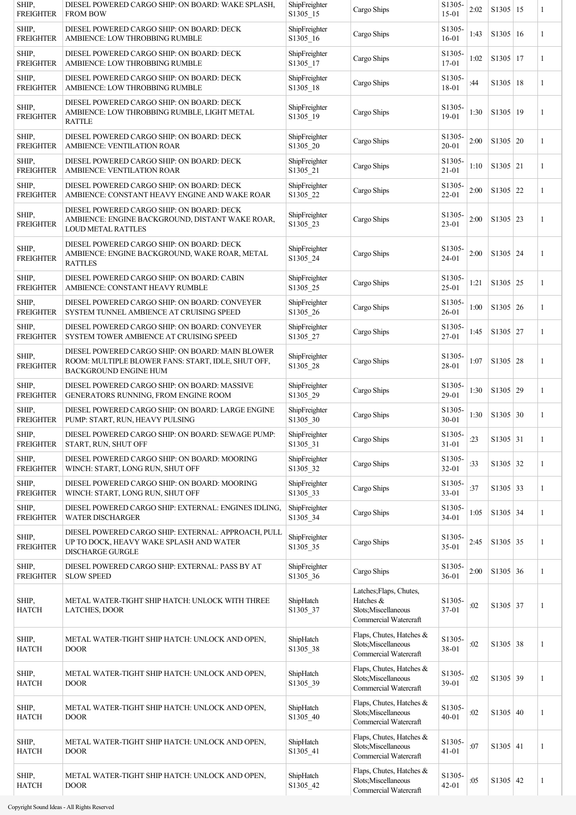| SHIP,<br><b>FREIGHTER</b> | DIESEL POWERED CARGO SHIP: ON BOARD: WAKE SPLASH,<br><b>FROM BOW</b>                                                                   | ShipFreighter<br>S1305 15 | Cargo Ships                                                                           | S <sub>1305</sub> -<br>$15 - 01$ | 2:02 | $S1305$ 15   | 1            |
|---------------------------|----------------------------------------------------------------------------------------------------------------------------------------|---------------------------|---------------------------------------------------------------------------------------|----------------------------------|------|--------------|--------------|
| SHIP,<br><b>FREIGHTER</b> | DIESEL POWERED CARGO SHIP: ON BOARD: DECK<br>AMBIENCE: LOW THROBBING RUMBLE                                                            | ShipFreighter<br>S1305_16 | Cargo Ships                                                                           | S1305-<br>$16 - 01$              | 1:43 | $S1305$ 16   | $\mathbf{1}$ |
| SHIP,<br><b>FREIGHTER</b> | DIESEL POWERED CARGO SHIP: ON BOARD: DECK<br>AMBIENCE: LOW THROBBING RUMBLE                                                            | ShipFreighter<br>S1305_17 | Cargo Ships                                                                           | S1305-<br>$17 - 01$              | 1:02 | S1305 17     | 1            |
| SHIP,<br><b>FREIGHTER</b> | DIESEL POWERED CARGO SHIP: ON BOARD: DECK<br>AMBIENCE: LOW THROBBING RUMBLE                                                            | ShipFreighter<br>S1305 18 | Cargo Ships                                                                           | S1305-<br>18-01                  | :44  | S1305 18     | $\mathbf{1}$ |
| SHIP,<br><b>FREIGHTER</b> | DIESEL POWERED CARGO SHIP: ON BOARD: DECK<br>AMBIENCE: LOW THROBBING RUMBLE, LIGHT METAL<br><b>RATTLE</b>                              | ShipFreighter<br>S1305 19 | Cargo Ships                                                                           | S <sub>1305</sub> -<br>19-01     | 1:30 | $S1305$   19 | $\mathbf{1}$ |
| SHIP,<br><b>FREIGHTER</b> | DIESEL POWERED CARGO SHIP: ON BOARD: DECK<br><b>AMBIENCE: VENTILATION ROAR</b>                                                         | ShipFreighter<br>S1305_20 | Cargo Ships                                                                           | S <sub>1305</sub> -<br>$20 - 01$ | 2:00 | S1305   20   | 1            |
| SHIP,<br><b>FREIGHTER</b> | DIESEL POWERED CARGO SHIP: ON BOARD: DECK<br>AMBIENCE: VENTILATION ROAR                                                                | ShipFreighter<br>S1305_21 | Cargo Ships                                                                           | S <sub>1305</sub> -<br>$21 - 01$ | 1:10 | $S1305$ 21   | 1            |
| SHIP,<br><b>FREIGHTER</b> | DIESEL POWERED CARGO SHIP: ON BOARD: DECK<br>AMBIENCE: CONSTANT HEAVY ENGINE AND WAKE ROAR                                             | ShipFreighter<br>S1305 22 | Cargo Ships                                                                           | S1305-<br>$22 - 01$              | 2:00 | S1305 22     | $\mathbf{1}$ |
| SHIP,<br><b>FREIGHTER</b> | DIESEL POWERED CARGO SHIP: ON BOARD: DECK<br>AMBIENCE: ENGINE BACKGROUND, DISTANT WAKE ROAR,<br><b>LOUD METAL RATTLES</b>              | ShipFreighter<br>S1305_23 | Cargo Ships                                                                           | S1305-<br>$23 - 01$              | 2:00 | $S1305$   23 | $\mathbf{1}$ |
| SHIP,<br><b>FREIGHTER</b> | DIESEL POWERED CARGO SHIP: ON BOARD: DECK<br>AMBIENCE: ENGINE BACKGROUND, WAKE ROAR, METAL<br><b>RATTLES</b>                           | ShipFreighter<br>S1305 24 | Cargo Ships                                                                           | S1305-<br>$24 - 01$              | 2:00 | $S1305$   24 | 1            |
| SHIP,<br><b>FREIGHTER</b> | DIESEL POWERED CARGO SHIP: ON BOARD: CABIN<br>AMBIENCE: CONSTANT HEAVY RUMBLE                                                          | ShipFreighter<br>S1305 25 | Cargo Ships                                                                           | S1305-<br>$25 - 01$              | 1:21 | $S1305$ 25   | $\mathbf{1}$ |
| SHIP,<br><b>FREIGHTER</b> | DIESEL POWERED CARGO SHIP: ON BOARD: CONVEYER<br>SYSTEM TUNNEL AMBIENCE AT CRUISING SPEED                                              | ShipFreighter<br>S1305_26 | Cargo Ships                                                                           | S <sub>1305</sub> -<br>$26 - 01$ | 1:00 | $S1305$ 26   | 1            |
| SHIP,<br><b>FREIGHTER</b> | DIESEL POWERED CARGO SHIP: ON BOARD: CONVEYER<br>SYSTEM TOWER AMBIENCE AT CRUISING SPEED                                               | ShipFreighter<br>S1305 27 | Cargo Ships                                                                           | S <sub>1305</sub> -<br>27-01     | 1:45 | $S1305$   27 | 1            |
| SHIP,<br><b>FREIGHTER</b> | DIESEL POWERED CARGO SHIP: ON BOARD: MAIN BLOWER<br>ROOM: MULTIPLE BLOWER FANS: START, IDLE, SHUT OFF,<br><b>BACKGROUND ENGINE HUM</b> | ShipFreighter<br>S1305 28 | Cargo Ships                                                                           | S1305-<br>28-01                  | 1:07 | S1305   28   | $\mathbf{1}$ |
| SHIP,<br><b>FREIGHTER</b> | DIESEL POWERED CARGO SHIP: ON BOARD: MASSIVE<br>GENERATORS RUNNING, FROM ENGINE ROOM                                                   | ShipFreighter<br>S1305 29 | Cargo Ships                                                                           | S <sub>1305</sub> -<br>29-01     | 1:30 | $S1305$ 29   | $\mathbf{1}$ |
| SHIP,<br><b>FREIGHTER</b> | DIESEL POWERED CARGO SHIP: ON BOARD: LARGE ENGINE<br>PUMP: START, RUN, HEAVY PULSING                                                   | ShipFreighter<br>S1305 30 | Cargo Ships                                                                           | S <sub>1305</sub> -<br>$30 - 01$ | 1:30 | $S1305$ 30   | 1            |
| SHIP,<br><b>FREIGHTER</b> | DIESEL POWERED CARGO SHIP: ON BOARD: SEWAGE PUMP:<br>START, RUN, SHUT OFF                                                              | ShipFreighter<br>S1305 31 | Cargo Ships                                                                           | S1305-<br>$31 - 01$              | :23  | $S1305$ 31   | 1            |
| SHIP,<br><b>FREIGHTER</b> | DIESEL POWERED CARGO SHIP: ON BOARD: MOORING<br>WINCH: START, LONG RUN, SHUT OFF                                                       | ShipFreighter<br>S1305_32 | Cargo Ships                                                                           | S1305-<br>$32 - 01$              | :33  | S1305 32     | 1            |
| SHIP,<br><b>FREIGHTER</b> | DIESEL POWERED CARGO SHIP: ON BOARD: MOORING<br>WINCH: START, LONG RUN, SHUT OFF                                                       | ShipFreighter<br>S1305_33 | Cargo Ships                                                                           | S1305-<br>$33 - 01$              | :37  | $S1305$ 33   | 1            |
| SHIP,<br><b>FREIGHTER</b> | DIESEL POWERED CARGO SHIP: EXTERNAL: ENGINES IDLING,<br><b>WATER DISCHARGER</b>                                                        | ShipFreighter<br>S1305_34 | Cargo Ships                                                                           | S <sub>1305</sub> -<br>$34 - 01$ | 1:05 | $S1305$ 34   | $\mathbf{1}$ |
| SHIP,<br><b>FREIGHTER</b> | DIESEL POWERED CARGO SHIP: EXTERNAL: APPROACH, PULL<br>UP TO DOCK, HEAVY WAKE SPLASH AND WATER<br><b>DISCHARGE GURGLE</b>              | ShipFreighter<br>S1305_35 | Cargo Ships                                                                           | S <sub>1305</sub> -<br>$35 - 01$ | 2:45 | S1305   35   | $\mathbf{1}$ |
| SHIP,<br><b>FREIGHTER</b> | DIESEL POWERED CARGO SHIP: EXTERNAL: PASS BY AT<br><b>SLOW SPEED</b>                                                                   | ShipFreighter<br>S1305_36 | Cargo Ships                                                                           | S <sub>1305</sub> -<br>$36 - 01$ | 2:00 | $S1305$ 36   | 1            |
| SHIP,<br><b>HATCH</b>     | METAL WATER-TIGHT SHIP HATCH: UNLOCK WITH THREE<br><b>LATCHES, DOOR</b>                                                                | ShipHatch<br>S1305 37     | Latches; Flaps, Chutes,<br>Hatches &<br>Slots; Miscellaneous<br>Commercial Watercraft | S1305-<br>$37 - 01$              | :02  | S1305 37     | $\mathbf{1}$ |
| SHIP,<br><b>HATCH</b>     | METAL WATER-TIGHT SHIP HATCH: UNLOCK AND OPEN,<br><b>DOOR</b>                                                                          | ShipHatch<br>S1305 38     | Flaps, Chutes, Hatches &<br>Slots; Miscellaneous<br>Commercial Watercraft             | S1305-<br>38-01                  | :02  | $S1305$ 38   | $\mathbf{1}$ |
| SHIP,<br><b>HATCH</b>     | METAL WATER-TIGHT SHIP HATCH: UNLOCK AND OPEN,<br><b>DOOR</b>                                                                          | ShipHatch<br>S1305_39     | Flaps, Chutes, Hatches &<br>Slots; Miscellaneous<br>Commercial Watercraft             | S1305-<br>39-01                  | :02  | S1305 39     | 1            |
| SHIP,<br><b>HATCH</b>     | METAL WATER-TIGHT SHIP HATCH: UNLOCK AND OPEN,<br><b>DOOR</b>                                                                          | ShipHatch<br>S1305 40     | Flaps, Chutes, Hatches &<br>Slots; Miscellaneous<br>Commercial Watercraft             | S1305-<br>$40 - 01$              | :02  | $S1305$ 40   | $\mathbf{1}$ |
| SHIP,<br><b>HATCH</b>     | METAL WATER-TIGHT SHIP HATCH: UNLOCK AND OPEN,<br><b>DOOR</b>                                                                          | ShipHatch<br>S1305_41     | Flaps, Chutes, Hatches &<br>Slots; Miscellaneous<br>Commercial Watercraft             | S1305-<br>$41 - 01$              | :07  | $S1305$ 41   | $\mathbf{1}$ |
| SHIP,<br><b>HATCH</b>     | METAL WATER-TIGHT SHIP HATCH: UNLOCK AND OPEN,<br><b>DOOR</b>                                                                          | ShipHatch<br>S1305_42     | Flaps, Chutes, Hatches &<br>Slots; Miscellaneous<br>Commercial Watercraft             | S1305-<br>$42 - 01$              | :05  | $S1305$ 42   | 1            |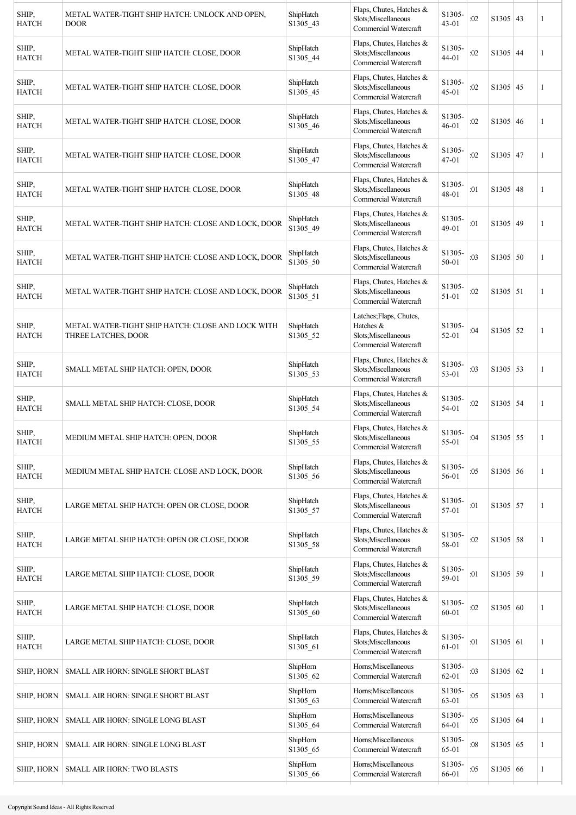| SHIP,<br><b>HATCH</b> | METAL WATER-TIGHT SHIP HATCH: UNLOCK AND OPEN,<br><b>DOOR</b>            | ShipHatch<br>S1305_43 | Flaps, Chutes, Hatches &<br>Slots; Miscellaneous<br>Commercial Watercraft             | S1305-<br>$43 - 01$ | :02 | $S1305$ 43      | 1            |
|-----------------------|--------------------------------------------------------------------------|-----------------------|---------------------------------------------------------------------------------------|---------------------|-----|-----------------|--------------|
| SHIP,<br><b>HATCH</b> | METAL WATER-TIGHT SHIP HATCH: CLOSE, DOOR                                | ShipHatch<br>S1305_44 | Flaps, Chutes, Hatches &<br>Slots; Miscellaneous<br>Commercial Watercraft             | S1305-<br>44-01     | :02 | $S1305$ 44      | 1            |
| SHIP,<br><b>HATCH</b> | METAL WATER-TIGHT SHIP HATCH: CLOSE, DOOR                                | ShipHatch<br>S1305_45 | Flaps, Chutes, Hatches &<br>Slots; Miscellaneous<br>Commercial Watercraft             | S1305-<br>$45 - 01$ | :02 | $S1305$ 45      | 1            |
| SHIP,<br><b>HATCH</b> | METAL WATER-TIGHT SHIP HATCH: CLOSE, DOOR                                | ShipHatch<br>S1305_46 | Flaps, Chutes, Hatches &<br>Slots; Miscellaneous<br>Commercial Watercraft             | S1305-<br>$46 - 01$ | :02 | $S1305 \mid 46$ | 1            |
| SHIP,<br><b>HATCH</b> | METAL WATER-TIGHT SHIP HATCH: CLOSE, DOOR                                | ShipHatch<br>S1305_47 | Flaps, Chutes, Hatches &<br>Slots; Miscellaneous<br>Commercial Watercraft             | S1305-<br>47-01     | :02 | S1305 47        | 1            |
| SHIP,<br><b>HATCH</b> | METAL WATER-TIGHT SHIP HATCH: CLOSE, DOOR                                | ShipHatch<br>S1305_48 | Flaps, Chutes, Hatches &<br>Slots:Miscellaneous<br>Commercial Watercraft              | S1305-<br>48-01     | :01 | $S1305$ 48      | 1            |
| SHIP,<br><b>HATCH</b> | METAL WATER-TIGHT SHIP HATCH: CLOSE AND LOCK, DOOR                       | ShipHatch<br>S1305_49 | Flaps, Chutes, Hatches &<br>Slots; Miscellaneous<br>Commercial Watercraft             | S1305-<br>$49 - 01$ | :01 | S1305 49        | 1            |
| SHIP,<br><b>HATCH</b> | METAL WATER-TIGHT SHIP HATCH: CLOSE AND LOCK, DOOR                       | ShipHatch<br>S1305_50 | Flaps, Chutes, Hatches &<br>Slots; Miscellaneous<br>Commercial Watercraft             | S1305-<br>$50 - 01$ | :03 | $S1305 \mid 50$ | 1            |
| SHIP,<br><b>HATCH</b> | METAL WATER-TIGHT SHIP HATCH: CLOSE AND LOCK, DOOR                       | ShipHatch<br>S1305_51 | Flaps, Chutes, Hatches &<br>Slots; Miscellaneous<br>Commercial Watercraft             | S1305-<br>51-01     | :02 | $S1305$ 51      | 1            |
| SHIP,<br><b>HATCH</b> | METAL WATER-TIGHT SHIP HATCH: CLOSE AND LOCK WITH<br>THREE LATCHES, DOOR | ShipHatch<br>S1305_52 | Latches; Flaps, Chutes,<br>Hatches &<br>Slots; Miscellaneous<br>Commercial Watercraft | S1305-<br>52-01     | :04 | $S1305$ 52      | 1            |
| SHIP,<br><b>HATCH</b> | SMALL METAL SHIP HATCH: OPEN, DOOR                                       | ShipHatch<br>S1305_53 | Flaps, Chutes, Hatches &<br>Slots; Miscellaneous<br>Commercial Watercraft             | S1305-<br>$53 - 01$ | :03 | $S1305$ 53      | 1            |
| SHIP,<br><b>HATCH</b> | SMALL METAL SHIP HATCH: CLOSE, DOOR                                      | ShipHatch<br>S1305_54 | Flaps, Chutes, Hatches &<br>Slots; Miscellaneous<br>Commercial Watercraft             | S1305-<br>54-01     | :02 | $S1305$ 54      | 1            |
| SHIP.<br><b>HATCH</b> | MEDIUM METAL SHIP HATCH: OPEN, DOOR                                      | ShipHatch<br>S1305_55 | Flaps, Chutes, Hatches &<br>Slots; Miscellaneous<br>Commercial Watercraft             | S1305-<br>55-01     | :04 | $S1305 \mid 55$ |              |
| SHIP,<br><b>HATCH</b> | MEDIUM METAL SHIP HATCH: CLOSE AND LOCK, DOOR                            | ShipHatch<br>S1305_56 | Flaps, Chutes, Hatches &<br>Slots; Miscellaneous<br>Commercial Watercraft             | S1305-<br>56-01     | :05 | $S1305$ 56      | 1            |
| SHIP,<br><b>HATCH</b> | LARGE METAL SHIP HATCH: OPEN OR CLOSE, DOOR                              | ShipHatch<br>S1305_57 | Flaps, Chutes, Hatches &<br>Slots;Miscellaneous<br>Commercial Watercraft              | S1305-<br>57-01     | :01 | S1305 57        | 1            |
| SHIP,<br><b>HATCH</b> | LARGE METAL SHIP HATCH: OPEN OR CLOSE, DOOR                              | ShipHatch<br>S1305_58 | Flaps, Chutes, Hatches &<br>Slots; Miscellaneous<br>Commercial Watercraft             | S1305-<br>58-01     | :02 | $S1305$ 58      | 1            |
| SHIP,<br><b>HATCH</b> | LARGE METAL SHIP HATCH: CLOSE, DOOR                                      | ShipHatch<br>S1305_59 | Flaps, Chutes, Hatches &<br>Slots; Miscellaneous<br>Commercial Watercraft             | S1305-<br>59-01     | :01 | $S1305$ 59      | 1            |
| SHIP,<br><b>HATCH</b> | LARGE METAL SHIP HATCH: CLOSE, DOOR                                      | ShipHatch<br>S1305_60 | Flaps, Chutes, Hatches &<br>Slots; Miscellaneous<br>Commercial Watercraft             | S1305-<br>60-01     | :02 | S1305   60      | 1            |
| SHIP,<br><b>HATCH</b> | LARGE METAL SHIP HATCH: CLOSE, DOOR                                      | ShipHatch<br>S1305_61 | Flaps, Chutes, Hatches &<br>Slots; Miscellaneous<br>Commercial Watercraft             | S1305-<br>61-01     | :01 | $S1305$ 61      | 1            |
| <b>SHIP, HORN</b>     | SMALL AIR HORN: SINGLE SHORT BLAST                                       | ShipHorn<br>S1305_62  | Horns; Miscellaneous<br>Commercial Watercraft                                         | S1305-<br>$62 - 01$ | :03 | S1305 62        | $\mathbf{1}$ |
| <b>SHIP, HORN</b>     | SMALL AIR HORN: SINGLE SHORT BLAST                                       | ShipHorn<br>S1305_63  | Horns; Miscellaneous<br>Commercial Watercraft                                         | S1305-<br>63-01     | :05 | S1305   63      | 1            |
| SHIP, HORN            | SMALL AIR HORN: SINGLE LONG BLAST                                        | ShipHorn<br>S1305_64  | Horns; Miscellaneous<br>Commercial Watercraft                                         | S1305-<br>64-01     | :05 | S1305   64      | 1            |
| SHIP, HORN            | SMALL AIR HORN: SINGLE LONG BLAST                                        | ShipHorn<br>S1305_65  | Horns; Miscellaneous<br>Commercial Watercraft                                         | S1305-<br>65-01     | :08 | S1305   65      | 1            |
| SHIP, HORN            | <b>SMALL AIR HORN: TWO BLASTS</b>                                        | ShipHorn<br>S1305_66  | Horns; Miscellaneous<br>Commercial Watercraft                                         | S1305-<br>66-01     | :05 | S1305   66      | $\mathbf{1}$ |
|                       |                                                                          |                       |                                                                                       |                     |     |                 |              |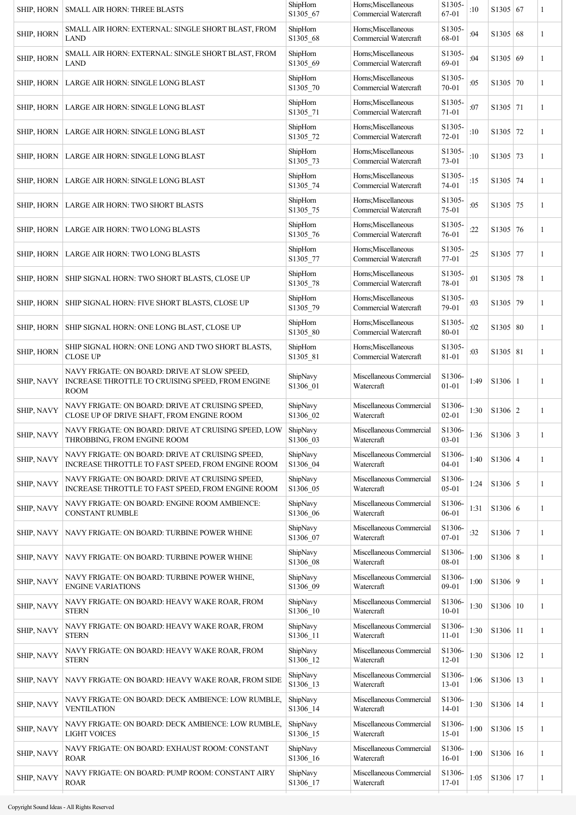| SHIP, HORN        | <b>SMALL AIR HORN: THREE BLASTS</b>                                                                             | ShipHorn<br>S1305_67 | Horns; Miscellaneous<br>Commercial Watercraft | S1305-<br>67-01                  | :10  | $S1305$ 67     | 1            |
|-------------------|-----------------------------------------------------------------------------------------------------------------|----------------------|-----------------------------------------------|----------------------------------|------|----------------|--------------|
| SHIP, HORN        | SMALL AIR HORN: EXTERNAL: SINGLE SHORT BLAST, FROM<br><b>LAND</b>                                               | ShipHorn<br>S1305_68 | Horns; Miscellaneous<br>Commercial Watercraft | S1305-<br>68-01                  | :04  | S1305 68       | 1            |
| SHIP, HORN        | SMALL AIR HORN: EXTERNAL: SINGLE SHORT BLAST, FROM<br>LAND                                                      | ShipHorn<br>S1305_69 | Horns; Miscellaneous<br>Commercial Watercraft | S1305-<br>69-01                  | :04  | S1305 69       | 1            |
| SHIP, HORN        | LARGE AIR HORN: SINGLE LONG BLAST                                                                               | ShipHorn<br>S1305_70 | Horns; Miscellaneous<br>Commercial Watercraft | S1305-<br>$70 - 01$              | :05  | S1305 70       | 1            |
| SHIP, HORN        | LARGE AIR HORN: SINGLE LONG BLAST                                                                               | ShipHorn<br>S1305_71 | Horns; Miscellaneous<br>Commercial Watercraft | S1305-<br>$71 - 01$              | :07  | $S1305$ 71     | 1            |
| SHIP, HORN        | LARGE AIR HORN: SINGLE LONG BLAST                                                                               | ShipHorn<br>S1305_72 | Horns; Miscellaneous<br>Commercial Watercraft | S1305-<br>$72 - 01$              | :10  | S1305 72       | 1            |
| SHIP, HORN        | LARGE AIR HORN: SINGLE LONG BLAST                                                                               | ShipHorn<br>S1305_73 | Horns; Miscellaneous<br>Commercial Watercraft | S1305-<br>73-01                  | :10  | S1305 73       | 1            |
| <b>SHIP, HORN</b> | LARGE AIR HORN: SINGLE LONG BLAST                                                                               | ShipHorn<br>S1305_74 | Horns; Miscellaneous<br>Commercial Watercraft | S1305-<br>74-01                  | :15  | S1305 74       | 1            |
| <b>SHIP, HORN</b> | LARGE AIR HORN: TWO SHORT BLASTS                                                                                | ShipHorn<br>S1305_75 | Horns; Miscellaneous<br>Commercial Watercraft | S1305-<br>75-01                  | :05  | S1305 75       | $\mathbf{1}$ |
| <b>SHIP, HORN</b> | LARGE AIR HORN: TWO LONG BLASTS                                                                                 | ShipHorn<br>S1305_76 | Horns; Miscellaneous<br>Commercial Watercraft | S1305-<br>76-01                  | :22  | S1305 76       | 1            |
| <b>SHIP, HORN</b> | LARGE AIR HORN: TWO LONG BLASTS                                                                                 | ShipHorn<br>S1305_77 | Horns; Miscellaneous<br>Commercial Watercraft | S1305-<br>77-01                  | :25  | S1305 77       | 1            |
| SHIP, HORN        | SHIP SIGNAL HORN: TWO SHORT BLASTS, CLOSE UP                                                                    | ShipHorn<br>S1305_78 | Horns; Miscellaneous<br>Commercial Watercraft | S1305-<br>78-01                  | :01  | S1305 78       | 1            |
| SHIP, HORN        | SHIP SIGNAL HORN: FIVE SHORT BLASTS, CLOSE UP                                                                   | ShipHorn<br>S1305_79 | Horns; Miscellaneous<br>Commercial Watercraft | S1305-<br>79-01                  | :03  | S1305 79       | 1            |
| SHIP, HORN        | SHIP SIGNAL HORN: ONE LONG BLAST, CLOSE UP                                                                      | ShipHorn<br>S1305_80 | Horns; Miscellaneous<br>Commercial Watercraft | S1305-<br>80-01                  | :02  | S1305   80     | 1            |
| SHIP, HORN        | SHIP SIGNAL HORN: ONE LONG AND TWO SHORT BLASTS,<br><b>CLOSE UP</b>                                             | ShipHorn<br>S1305_81 | Horns; Miscellaneous<br>Commercial Watercraft | S1305-<br>81-01                  | :03  | S1305   81     | 1            |
| <b>SHIP, NAVY</b> | NAVY FRIGATE: ON BOARD: DRIVE AT SLOW SPEED,<br>INCREASE THROTTLE TO CRUISING SPEED, FROM ENGINE<br><b>ROOM</b> | ShipNavy<br>S1306_01 | Miscellaneous Commercial<br>Watercraft        | S1306-<br>$01 - 01$              | 1:49 | $S1306 \mid 1$ | 1            |
| SHIP, NAVY        | NAVY FRIGATE: ON BOARD: DRIVE AT CRUISING SPEED,<br>CLOSE UP OF DRIVE SHAFT, FROM ENGINE ROOM                   | ShipNavy<br>S1306_02 | Miscellaneous Commercial<br>Watercraft        | S1306-<br>$02 - 01$              | 1:30 | $S1306$   2    | 1            |
| SHIP, NAVY        | NAVY FRIGATE: ON BOARD: DRIVE AT CRUISING SPEED, LOW<br>THROBBING, FROM ENGINE ROOM                             | ShipNavy<br>S1306_03 | Miscellaneous Commercial<br>Watercraft        | S1306-<br>$03 - 01$              | 1:36 | $S1306 \mid 3$ |              |
| SHIP, NAVY        | NAVY FRIGATE: ON BOARD: DRIVE AT CRUISING SPEED,<br>INCREASE THROTTLE TO FAST SPEED, FROM ENGINE ROOM           | ShipNavy<br>S1306 04 | Miscellaneous Commercial<br>Watercraft        | S <sub>1306</sub> -<br>$04 - 01$ | 1:40 | $S1306 \mid 4$ | 1            |
| SHIP, NAVY        | NAVY FRIGATE: ON BOARD: DRIVE AT CRUISING SPEED,<br>INCREASE THROTTLE TO FAST SPEED, FROM ENGINE ROOM           | ShipNavy<br>S1306_05 | Miscellaneous Commercial<br>Watercraft        | S1306-<br>$05 - 01$              | 1:24 | $S1306 \mid 5$ | $\mathbf{1}$ |
| SHIP, NAVY        | NAVY FRIGATE: ON BOARD: ENGINE ROOM AMBIENCE:<br><b>CONSTANT RUMBLE</b>                                         | ShipNavy<br>S1306_06 | Miscellaneous Commercial<br>Watercraft        | S1306-<br>$06 - 01$              | 1:31 | S1306 6        | 1            |
| <b>SHIP, NAVY</b> | NAVY FRIGATE: ON BOARD: TURBINE POWER WHINE                                                                     | ShipNavy<br>S1306_07 | Miscellaneous Commercial<br>Watercraft        | S1306-<br>$07 - 01$              | :32  | $S1306 \mid 7$ | 1            |
| <b>SHIP, NAVY</b> | NAVY FRIGATE: ON BOARD: TURBINE POWER WHINE                                                                     | ShipNavy<br>S1306_08 | Miscellaneous Commercial<br>Watercraft        | S1306-<br>08-01                  | 1:00 | S1306   8      | 1            |
| SHIP, NAVY        | NAVY FRIGATE: ON BOARD: TURBINE POWER WHINE,<br><b>ENGINE VARIATIONS</b>                                        | ShipNavy<br>S1306 09 | Miscellaneous Commercial<br>Watercraft        | S1306-<br>$09 - 01$              | 1:00 | S1306 9        | 1            |
| SHIP, NAVY        | NAVY FRIGATE: ON BOARD: HEAVY WAKE ROAR, FROM<br><b>STERN</b>                                                   | ShipNavy<br>S1306 10 | Miscellaneous Commercial<br>Watercraft        | S1306-<br>$10 - 01$              | 1:30 | S1306 10       | $\mathbf{1}$ |
| SHIP, NAVY        | NAVY FRIGATE: ON BOARD: HEAVY WAKE ROAR, FROM<br><b>STERN</b>                                                   | ShipNavy<br>S1306 11 | Miscellaneous Commercial<br>Watercraft        | S1306-<br>$11 - 01$              | 1:30 | $S1306$   11   | 1            |
| SHIP, NAVY        | NAVY FRIGATE: ON BOARD: HEAVY WAKE ROAR, FROM<br><b>STERN</b>                                                   | ShipNavy<br>S1306 12 | Miscellaneous Commercial<br>Watercraft        | S1306-<br>$12 - 01$              | 1:30 | S1306 12       | 1            |
| <b>SHIP, NAVY</b> | NAVY FRIGATE: ON BOARD: HEAVY WAKE ROAR, FROM SIDE                                                              | ShipNavy<br>S1306_13 | Miscellaneous Commercial<br>Watercraft        | S1306-<br>$13 - 01$              | 1:06 | S1306 13       | 1            |
| SHIP, NAVY        | NAVY FRIGATE: ON BOARD: DECK AMBIENCE: LOW RUMBLE,<br><b>VENTILATION</b>                                        | ShipNavy<br>S1306_14 | Miscellaneous Commercial<br>Watercraft        | S <sub>1306</sub> -<br>$14 - 01$ | 1:30 | $S1306$   14   | 1            |
| SHIP, NAVY        | NAVY FRIGATE: ON BOARD: DECK AMBIENCE: LOW RUMBLE,<br><b>LIGHT VOICES</b>                                       | ShipNavy<br>S1306_15 | Miscellaneous Commercial<br>Watercraft        | S1306-<br>$15 - 01$              | 1:00 | S1306 15       | 1            |
| SHIP, NAVY        | NAVY FRIGATE: ON BOARD: EXHAUST ROOM: CONSTANT<br><b>ROAR</b>                                                   | ShipNavy<br>S1306_16 | Miscellaneous Commercial<br>Watercraft        | S1306-<br>$16 - 01$              | 1:00 | S1306 16       | 1            |
| SHIP, NAVY        | NAVY FRIGATE: ON BOARD: PUMP ROOM: CONSTANT AIRY<br><b>ROAR</b>                                                 | ShipNavy<br>S1306 17 | Miscellaneous Commercial<br>Watercraft        | S1306-<br>$17 - 01$              | 1:05 | $S1306$   17   | 1            |